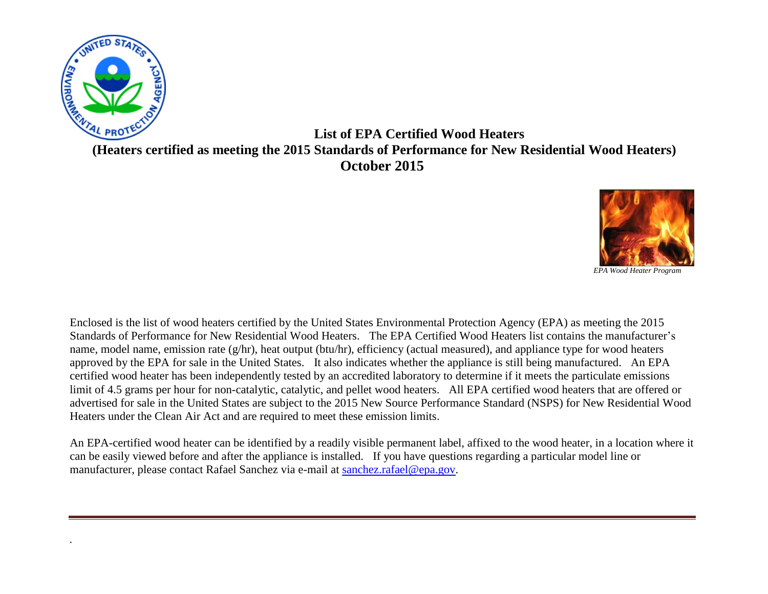

*.* 

**List of EPA Certified Wood Heaters (Heaters certified as meeting the 2015 Standards of Performance for New Residential Wood Heaters) October 2015**



Enclosed is the list of wood heaters certified by the United States Environmental Protection Agency (EPA) as meeting the 2015 Standards of Performance for New Residential Wood Heaters. The EPA Certified Wood Heaters list contains the manufacturer's name, model name, emission rate (g/hr), heat output (btu/hr), efficiency (actual measured), and appliance type for wood heaters approved by the EPA for sale in the United States. It also indicates whether the appliance is still being manufactured. An EPA certified wood heater has been independently tested by an accredited laboratory to determine if it meets the particulate emissions limit of 4.5 grams per hour for non-catalytic, catalytic, and pellet wood heaters. All EPA certified wood heaters that are offered or advertised for sale in the United States are subject to the 2015 New Source Performance Standard (NSPS) for New Residential Wood Heaters under the Clean Air Act and are required to meet these emission limits.

An EPA-certified wood heater can be identified by a readily visible permanent label, affixed to the wood heater, in a location where it can be easily viewed before and after the appliance is installed. If you have questions regarding a particular model line or manufacturer, please contact Rafael Sanchez via e-mail at [sanchez.rafael@epa.gov.](mailto:sanchez.rafael@epa.gov)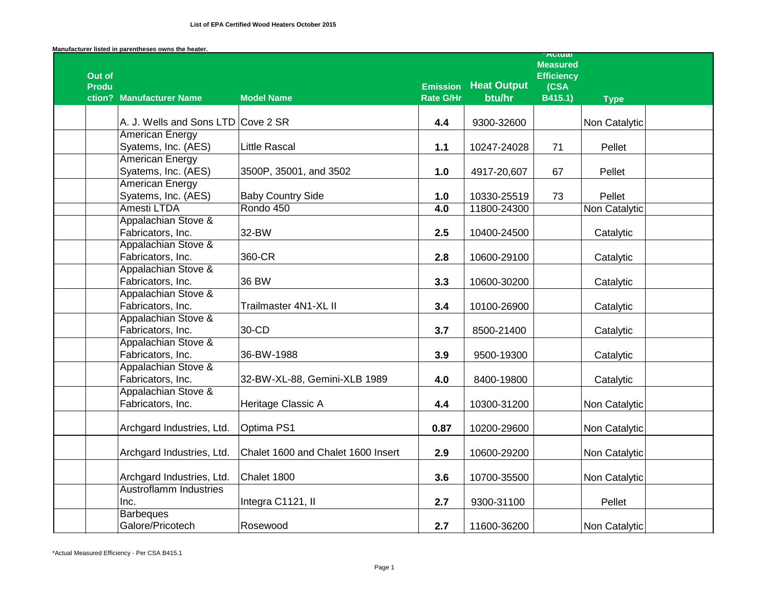|                        |                                          |                                    |                                     |                    | <b>Attual</b><br><b>Measured</b> |               |  |
|------------------------|------------------------------------------|------------------------------------|-------------------------------------|--------------------|----------------------------------|---------------|--|
| Out of<br><b>Produ</b> |                                          |                                    |                                     | <b>Heat Output</b> | <b>Efficiency</b>                |               |  |
|                        | ction? Manufacturer Name                 | <b>Model Name</b>                  | <b>Emission</b><br><b>Rate G/Hr</b> | btu/hr             | (CSA<br>B415.1)                  | <b>Type</b>   |  |
|                        |                                          |                                    |                                     |                    |                                  |               |  |
|                        | A. J. Wells and Sons LTD Cove 2 SR       |                                    | 4.4                                 | 9300-32600         |                                  | Non Catalytic |  |
|                        | <b>American Energy</b>                   |                                    |                                     |                    |                                  |               |  |
|                        | Syatems, Inc. (AES)                      | <b>Little Rascal</b>               | $1.1$                               | 10247-24028        | 71                               | Pellet        |  |
|                        | <b>American Energy</b>                   |                                    |                                     |                    |                                  |               |  |
|                        | Syatems, Inc. (AES)                      | 3500P, 35001, and 3502             | 1.0                                 | 4917-20,607        | 67                               | Pellet        |  |
|                        | <b>American Energy</b>                   |                                    |                                     |                    |                                  |               |  |
|                        | Syatems, Inc. (AES)                      | <b>Baby Country Side</b>           | 1.0                                 | 10330-25519        | 73                               | Pellet        |  |
|                        | Amesti LTDA                              | Rondo 450                          | 4.0                                 | 11800-24300        |                                  | Non Catalytic |  |
|                        | Appalachian Stove &                      |                                    |                                     |                    |                                  |               |  |
|                        | Fabricators, Inc.                        | 32-BW                              | 2.5                                 | 10400-24500        |                                  | Catalytic     |  |
|                        | Appalachian Stove &                      |                                    |                                     |                    |                                  |               |  |
|                        | Fabricators, Inc.                        | 360-CR                             | 2.8                                 | 10600-29100        |                                  | Catalytic     |  |
|                        | Appalachian Stove &                      |                                    |                                     |                    |                                  |               |  |
|                        | Fabricators, Inc.                        | 36 BW                              | 3.3                                 | 10600-30200        |                                  | Catalytic     |  |
|                        | Appalachian Stove &                      |                                    |                                     |                    |                                  |               |  |
|                        | Fabricators, Inc.                        | Trailmaster 4N1-XL II              | 3.4                                 | 10100-26900        |                                  | Catalytic     |  |
|                        | Appalachian Stove &                      |                                    |                                     |                    |                                  |               |  |
|                        | Fabricators, Inc.                        | 30-CD                              | 3.7                                 | 8500-21400         |                                  | Catalytic     |  |
|                        | Appalachian Stove &                      |                                    |                                     |                    |                                  |               |  |
|                        | Fabricators, Inc.                        | 36-BW-1988                         | 3.9                                 | 9500-19300         |                                  | Catalytic     |  |
|                        | Appalachian Stove &                      |                                    |                                     |                    |                                  |               |  |
|                        | Fabricators, Inc.<br>Appalachian Stove & | 32-BW-XL-88, Gemini-XLB 1989       | 4.0                                 | 8400-19800         |                                  | Catalytic     |  |
|                        | Fabricators, Inc.                        | Heritage Classic A                 | 4.4                                 |                    |                                  |               |  |
|                        |                                          |                                    |                                     | 10300-31200        |                                  | Non Catalytic |  |
|                        | Archgard Industries, Ltd.                | Optima PS1                         | 0.87                                | 10200-29600        |                                  | Non Catalytic |  |
|                        |                                          |                                    |                                     |                    |                                  |               |  |
|                        | Archgard Industries, Ltd.                | Chalet 1600 and Chalet 1600 Insert | 2.9                                 | 10600-29200        |                                  | Non Catalytic |  |
|                        |                                          |                                    |                                     |                    |                                  |               |  |
|                        | Archgard Industries, Ltd.                | Chalet 1800                        | 3.6                                 | 10700-35500        |                                  | Non Catalytic |  |
|                        | <b>Austroflamm Industries</b>            |                                    |                                     |                    |                                  |               |  |
|                        | Inc.                                     | Integra C1121, II                  | 2.7                                 | 9300-31100         |                                  | Pellet        |  |
|                        | <b>Barbeques</b>                         |                                    |                                     |                    |                                  |               |  |
|                        | Galore/Pricotech                         | Rosewood                           | 2.7                                 | 11600-36200        |                                  | Non Catalytic |  |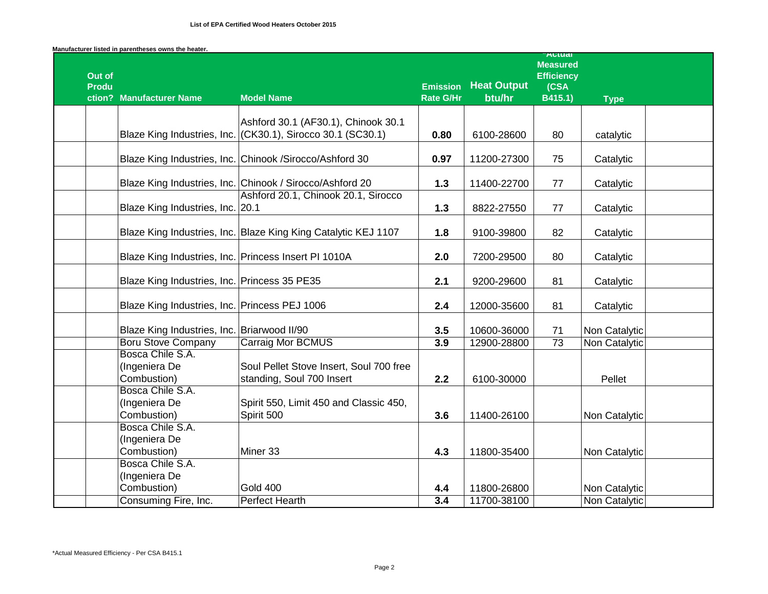|                                  | Manufacturer listed in parentheses owns the heater.  |                                                                                                    |                                     |                              | <b>Attual</b>                                           |               |  |
|----------------------------------|------------------------------------------------------|----------------------------------------------------------------------------------------------------|-------------------------------------|------------------------------|---------------------------------------------------------|---------------|--|
| Out of<br><b>Produ</b><br>ction? | <b>Manufacturer Name</b>                             | <b>Model Name</b>                                                                                  | <b>Emission</b><br><b>Rate G/Hr</b> | <b>Heat Output</b><br>btu/hr | <b>Measured</b><br><b>Efficiency</b><br>(CSA<br>B415.1) | <b>Type</b>   |  |
|                                  |                                                      |                                                                                                    |                                     |                              |                                                         |               |  |
|                                  |                                                      | Ashford 30.1 (AF30.1), Chinook 30.1<br>Blaze King Industries, Inc. (CK30.1), Sirocco 30.1 (SC30.1) | 0.80                                | 6100-28600                   | 80                                                      | catalytic     |  |
|                                  |                                                      | Blaze King Industries, Inc. Chinook /Sirocco/Ashford 30                                            | 0.97                                | 11200-27300                  | 75                                                      | Catalytic     |  |
|                                  |                                                      | Blaze King Industries, Inc. Chinook / Sirocco/Ashford 20                                           | $1.3$                               | 11400-22700                  | 77                                                      | Catalytic     |  |
|                                  | Blaze King Industries, Inc. 20.1                     | Ashford 20.1, Chinook 20.1, Sirocco                                                                | $1.3$                               | 8822-27550                   | 77                                                      | Catalytic     |  |
|                                  |                                                      | Blaze King Industries, Inc. Blaze King King Catalytic KEJ 1107                                     | 1.8                                 | 9100-39800                   | 82                                                      | Catalytic     |  |
|                                  | Blaze King Industries, Inc. Princess Insert PI 1010A |                                                                                                    | 2.0                                 | 7200-29500                   | 80                                                      | Catalytic     |  |
|                                  | Blaze King Industries, Inc. Princess 35 PE35         |                                                                                                    | 2.1                                 | 9200-29600                   | 81                                                      | Catalytic     |  |
|                                  | Blaze King Industries, Inc. Princess PEJ 1006        |                                                                                                    | 2.4                                 | 12000-35600                  | 81                                                      | Catalytic     |  |
|                                  | Blaze King Industries, Inc. Briarwood II/90          |                                                                                                    | 3.5                                 | 10600-36000                  | 71                                                      | Non Catalytic |  |
|                                  | <b>Boru Stove Company</b>                            | <b>Carraig Mor BCMUS</b>                                                                           | 3.9                                 | 12900-28800                  | $\overline{73}$                                         | Non Catalytic |  |
|                                  | Bosca Chile S.A.<br>(Ingeniera De<br>Combustion)     | Soul Pellet Stove Insert, Soul 700 free<br>standing, Soul 700 Insert                               | 2.2                                 | 6100-30000                   |                                                         | Pellet        |  |
|                                  | Bosca Chile S.A.<br>(Ingeniera De<br>Combustion)     | Spirit 550, Limit 450 and Classic 450,<br>Spirit 500                                               | 3.6                                 | 11400-26100                  |                                                         | Non Catalytic |  |
|                                  | Bosca Chile S.A.<br>(Ingeniera De<br>Combustion)     | Miner 33                                                                                           | 4.3                                 | 11800-35400                  |                                                         | Non Catalytic |  |
|                                  | Bosca Chile S.A.<br>(Ingeniera De<br>Combustion)     | <b>Gold 400</b>                                                                                    | 4.4                                 | 11800-26800                  |                                                         | Non Catalytic |  |
|                                  | Consuming Fire, Inc.                                 | <b>Perfect Hearth</b>                                                                              | 3.4                                 | 11700-38100                  |                                                         | Non Catalytic |  |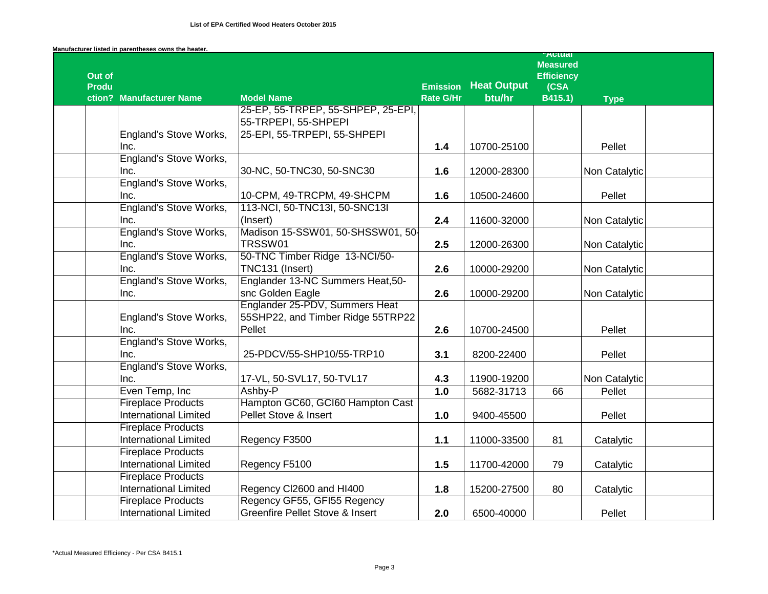| Manufacturer listed in parentheses owns the heater. |  |
|-----------------------------------------------------|--|
|-----------------------------------------------------|--|

|              |                               |                                    |                                     |                              | <b>Autual</b><br><b>Measured</b> |               |  |
|--------------|-------------------------------|------------------------------------|-------------------------------------|------------------------------|----------------------------------|---------------|--|
| Out of       |                               |                                    |                                     |                              | <b>Efficiency</b>                |               |  |
| <b>Produ</b> | ction? Manufacturer Name      | <b>Model Name</b>                  | <b>Emission</b><br><b>Rate G/Hr</b> | <b>Heat Output</b><br>btu/hr | (CSA<br>B415.1)                  | <b>Type</b>   |  |
|              |                               | 25-EP, 55-TRPEP, 55-SHPEP, 25-EPI, |                                     |                              |                                  |               |  |
|              |                               | 55-TRPEPI, 55-SHPEPI               |                                     |                              |                                  |               |  |
|              | England's Stove Works,        | 25-EPI, 55-TRPEPI, 55-SHPEPI       |                                     |                              |                                  |               |  |
|              | Inc.                          |                                    | 1.4                                 | 10700-25100                  |                                  | Pellet        |  |
|              | <b>England's Stove Works,</b> |                                    |                                     |                              |                                  |               |  |
|              | Inc.                          | 30-NC, 50-TNC30, 50-SNC30          | 1.6                                 | 12000-28300                  |                                  | Non Catalytic |  |
|              | <b>England's Stove Works,</b> |                                    |                                     |                              |                                  |               |  |
|              | Inc.                          | 10-CPM, 49-TRCPM, 49-SHCPM         | 1.6                                 | 10500-24600                  |                                  | Pellet        |  |
|              | <b>England's Stove Works,</b> | 113-NCI, 50-TNC13I, 50-SNC13I      |                                     |                              |                                  |               |  |
|              | Inc.                          | (Insert)                           | 2.4                                 | 11600-32000                  |                                  | Non Catalytic |  |
|              | England's Stove Works,        | Madison 15-SSW01, 50-SHSSW01, 50-  |                                     |                              |                                  |               |  |
|              | Inc.                          | TRSSW01                            | 2.5                                 | 12000-26300                  |                                  | Non Catalytic |  |
|              | <b>England's Stove Works,</b> | 50-TNC Timber Ridge 13-NCI/50-     |                                     |                              |                                  |               |  |
|              | Inc.                          | TNC131 (Insert)                    | 2.6                                 | 10000-29200                  |                                  | Non Catalytic |  |
|              | <b>England's Stove Works,</b> | Englander 13-NC Summers Heat, 50-  |                                     |                              |                                  |               |  |
|              | Inc.                          | snc Golden Eagle                   | 2.6                                 | 10000-29200                  |                                  | Non Catalytic |  |
|              |                               | Englander 25-PDV, Summers Heat     |                                     |                              |                                  |               |  |
|              | England's Stove Works,        | 55SHP22, and Timber Ridge 55TRP22  |                                     |                              |                                  |               |  |
|              | Inc.                          | Pellet                             | 2.6                                 | 10700-24500                  |                                  | Pellet        |  |
|              | <b>England's Stove Works,</b> |                                    |                                     |                              |                                  |               |  |
|              | Inc.                          | 25-PDCV/55-SHP10/55-TRP10          | 3.1                                 | 8200-22400                   |                                  | Pellet        |  |
|              | <b>England's Stove Works,</b> |                                    |                                     |                              |                                  |               |  |
|              | Inc.                          | 17-VL, 50-SVL17, 50-TVL17          | 4.3                                 | 11900-19200                  |                                  | Non Catalytic |  |
|              | Even Temp, Inc                | Ashby-P                            | 1.0                                 | 5682-31713                   | 66                               | Pellet        |  |
|              | <b>Fireplace Products</b>     | Hampton GC60, GCI60 Hampton Cast   |                                     |                              |                                  |               |  |
|              | <b>International Limited</b>  | Pellet Stove & Insert              | 1.0                                 | 9400-45500                   |                                  | Pellet        |  |
|              | <b>Fireplace Products</b>     |                                    |                                     |                              |                                  |               |  |
|              | <b>International Limited</b>  | Regency F3500                      | $1.1$                               | 11000-33500                  | 81                               | Catalytic     |  |
|              | <b>Fireplace Products</b>     |                                    |                                     |                              |                                  |               |  |
|              | <b>International Limited</b>  | Regency F5100                      | 1.5                                 | 11700-42000                  | 79                               | Catalytic     |  |
|              | <b>Fireplace Products</b>     |                                    |                                     |                              |                                  |               |  |
|              | <b>International Limited</b>  | Regency Cl2600 and HI400           | 1.8                                 | 15200-27500                  | 80                               | Catalytic     |  |
|              | <b>Fireplace Products</b>     | Regency GF55, GFI55 Regency        |                                     |                              |                                  |               |  |
|              | <b>International Limited</b>  | Greenfire Pellet Stove & Insert    | 2.0                                 | 6500-40000                   |                                  | Pellet        |  |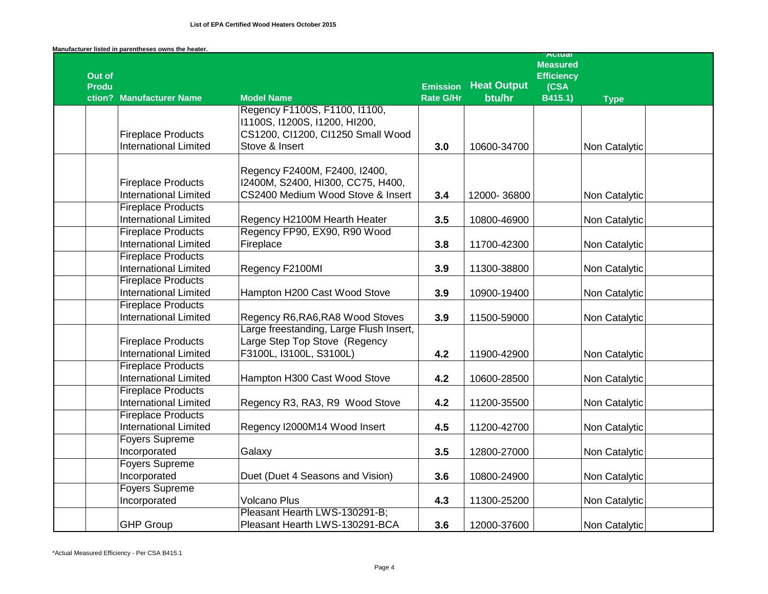|  | Manufacturer listed in parentheses owns the heater. |  |  |  |  |
|--|-----------------------------------------------------|--|--|--|--|
|--|-----------------------------------------------------|--|--|--|--|

|                        |                              |                                         |                  |                    | Autudi<br><b>Measured</b> |               |
|------------------------|------------------------------|-----------------------------------------|------------------|--------------------|---------------------------|---------------|
| Out of<br><b>Produ</b> |                              |                                         | <b>Emission</b>  | <b>Heat Output</b> | <b>Efficiency</b>         |               |
|                        | ction? Manufacturer Name     | <b>Model Name</b>                       | <b>Rate G/Hr</b> | btu/hr             | (CSA<br>B415.1)           | <b>Type</b>   |
|                        |                              | Regency F1100S, F1100, I1100,           |                  |                    |                           |               |
|                        |                              | 11100S, 11200S, 11200, HI200,           |                  |                    |                           |               |
|                        | <b>Fireplace Products</b>    | CS1200, Cl1200, Cl1250 Small Wood       |                  |                    |                           |               |
|                        | <b>International Limited</b> | Stove & Insert                          | 3.0              | 10600-34700        |                           | Non Catalytic |
|                        |                              |                                         |                  |                    |                           |               |
|                        |                              | Regency F2400M, F2400, I2400,           |                  |                    |                           |               |
|                        | <b>Fireplace Products</b>    | I2400M, S2400, HI300, CC75, H400,       |                  |                    |                           |               |
|                        | <b>International Limited</b> | CS2400 Medium Wood Stove & Insert       | 3.4              | 12000-36800        |                           | Non Catalytic |
|                        | <b>Fireplace Products</b>    |                                         |                  |                    |                           |               |
|                        | <b>International Limited</b> | Regency H2100M Hearth Heater            | 3.5              | 10800-46900        |                           | Non Catalytic |
|                        | <b>Fireplace Products</b>    | Regency FP90, EX90, R90 Wood            |                  |                    |                           |               |
|                        | <b>International Limited</b> | Fireplace                               | 3.8              | 11700-42300        |                           | Non Catalytic |
|                        | <b>Fireplace Products</b>    |                                         |                  |                    |                           |               |
|                        | <b>International Limited</b> | Regency F2100MI                         | 3.9              | 11300-38800        |                           | Non Catalytic |
|                        | <b>Fireplace Products</b>    |                                         |                  |                    |                           |               |
|                        | <b>International Limited</b> | Hampton H200 Cast Wood Stove            | 3.9              | 10900-19400        |                           | Non Catalytic |
|                        | <b>Fireplace Products</b>    |                                         |                  |                    |                           |               |
|                        | <b>International Limited</b> | Regency R6, RA6, RA8 Wood Stoves        | 3.9              | 11500-59000        |                           | Non Catalytic |
|                        |                              | Large freestanding, Large Flush Insert, |                  |                    |                           |               |
|                        | <b>Fireplace Products</b>    | Large Step Top Stove (Regency           |                  |                    |                           |               |
|                        | <b>International Limited</b> | F3100L, I3100L, S3100L)                 | 4.2              | 11900-42900        |                           | Non Catalytic |
|                        | <b>Fireplace Products</b>    |                                         |                  |                    |                           |               |
|                        | <b>International Limited</b> | Hampton H300 Cast Wood Stove            | 4.2              | 10600-28500        |                           | Non Catalytic |
|                        | <b>Fireplace Products</b>    |                                         |                  |                    |                           |               |
|                        | <b>International Limited</b> | Regency R3, RA3, R9 Wood Stove          | 4.2              | 11200-35500        |                           | Non Catalytic |
|                        | <b>Fireplace Products</b>    |                                         |                  |                    |                           |               |
|                        | <b>International Limited</b> | Regency I2000M14 Wood Insert            | 4.5              | 11200-42700        |                           | Non Catalytic |
|                        | <b>Foyers Supreme</b>        |                                         |                  |                    |                           |               |
|                        | Incorporated                 | Galaxy                                  | 3.5              | 12800-27000        |                           | Non Catalytic |
|                        | <b>Foyers Supreme</b>        |                                         |                  |                    |                           |               |
|                        | Incorporated                 | Duet (Duet 4 Seasons and Vision)        | 3.6              | 10800-24900        |                           | Non Catalytic |
|                        | <b>Foyers Supreme</b>        |                                         |                  |                    |                           |               |
|                        | Incorporated                 | <b>Volcano Plus</b>                     | 4.3              | 11300-25200        |                           | Non Catalytic |
|                        |                              | Pleasant Hearth LWS-130291-B;           |                  |                    |                           |               |
|                        | <b>GHP Group</b>             | Pleasant Hearth LWS-130291-BCA          | 3.6              | 12000-37600        |                           | Non Catalytic |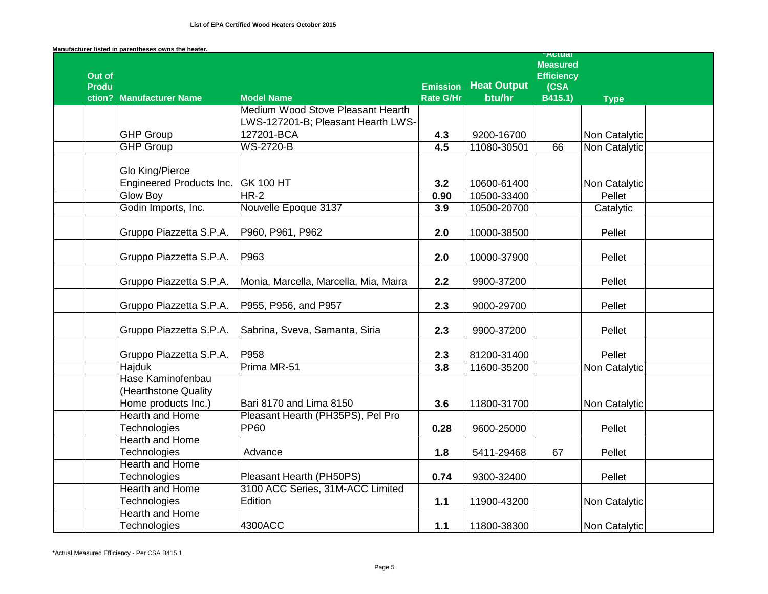|  | Manufacturer listed in parentheses owns the heater. |  |  |  |  |
|--|-----------------------------------------------------|--|--|--|--|
|--|-----------------------------------------------------|--|--|--|--|

|              |                          |                                       |                  |                    | Autual<br><b>Measured</b> |               |  |
|--------------|--------------------------|---------------------------------------|------------------|--------------------|---------------------------|---------------|--|
| Out of       |                          |                                       |                  |                    | <b>Efficiency</b>         |               |  |
| <b>Produ</b> |                          |                                       | <b>Emission</b>  | <b>Heat Output</b> | (CSA)                     |               |  |
|              | ction? Manufacturer Name | <b>Model Name</b>                     | <b>Rate G/Hr</b> | btu/hr             | B415.1)                   | <b>Type</b>   |  |
|              |                          | Medium Wood Stove Pleasant Hearth     |                  |                    |                           |               |  |
|              |                          | LWS-127201-B; Pleasant Hearth LWS-    |                  |                    |                           |               |  |
|              | <b>GHP Group</b>         | 127201-BCA                            | 4.3              | 9200-16700         |                           | Non Catalytic |  |
|              | <b>GHP Group</b>         | <b>WS-2720-B</b>                      | 4.5              | 11080-30501        | 66                        | Non Catalytic |  |
|              |                          |                                       |                  |                    |                           |               |  |
|              | Glo King/Pierce          |                                       |                  |                    |                           |               |  |
|              | Engineered Products Inc. | <b>GK 100 HT</b>                      | 3.2              | 10600-61400        |                           | Non Catalytic |  |
|              | <b>Glow Boy</b>          | $HR-2$                                | 0.90             | 10500-33400        |                           | Pellet        |  |
|              | Godin Imports, Inc.      | Nouvelle Epoque 3137                  | 3.9              | 10500-20700        |                           | Catalytic     |  |
|              |                          |                                       |                  |                    |                           |               |  |
|              | Gruppo Piazzetta S.P.A.  | P960, P961, P962                      | 2.0              | 10000-38500        |                           | Pellet        |  |
|              |                          |                                       |                  |                    |                           |               |  |
|              | Gruppo Piazzetta S.P.A.  | P963                                  | 2.0              | 10000-37900        |                           | Pellet        |  |
|              |                          |                                       |                  |                    |                           |               |  |
|              | Gruppo Piazzetta S.P.A.  | Monia, Marcella, Marcella, Mia, Maira | 2.2              | 9900-37200         |                           | Pellet        |  |
|              | Gruppo Piazzetta S.P.A.  | P955, P956, and P957                  | 2.3              | 9000-29700         |                           | Pellet        |  |
|              |                          |                                       |                  |                    |                           |               |  |
|              | Gruppo Piazzetta S.P.A.  | Sabrina, Sveva, Samanta, Siria        | 2.3              | 9900-37200         |                           | Pellet        |  |
|              |                          |                                       |                  |                    |                           |               |  |
|              | Gruppo Piazzetta S.P.A.  | P958                                  | 2.3              | 81200-31400        |                           | Pellet        |  |
|              | <b>Hajduk</b>            | Prima MR-51                           | 3.8              | 11600-35200        |                           | Non Catalytic |  |
|              | Hase Kaminofenbau        |                                       |                  |                    |                           |               |  |
|              | (Hearthstone Quality     |                                       |                  |                    |                           |               |  |
|              | Home products Inc.)      | Bari 8170 and Lima 8150               | 3.6              | 11800-31700        |                           | Non Catalytic |  |
|              | <b>Hearth and Home</b>   | Pleasant Hearth (PH35PS), Pel Pro     |                  |                    |                           |               |  |
|              | Technologies             | <b>PP60</b>                           | 0.28             | 9600-25000         |                           | Pellet        |  |
|              | <b>Hearth and Home</b>   |                                       |                  |                    |                           |               |  |
|              | Technologies             | Advance                               | 1.8              | 5411-29468         | 67                        | Pellet        |  |
|              | <b>Hearth and Home</b>   |                                       |                  |                    |                           |               |  |
|              | Technologies             | Pleasant Hearth (PH50PS)              | 0.74             | 9300-32400         |                           | Pellet        |  |
|              | <b>Hearth and Home</b>   | 3100 ACC Series, 31M-ACC Limited      |                  |                    |                           |               |  |
|              | Technologies             | Edition                               | $1.1$            | 11900-43200        |                           | Non Catalytic |  |
|              | <b>Hearth and Home</b>   |                                       |                  |                    |                           |               |  |
|              | Technologies             | 4300ACC                               | $1.1$            | 11800-38300        |                           | Non Catalytic |  |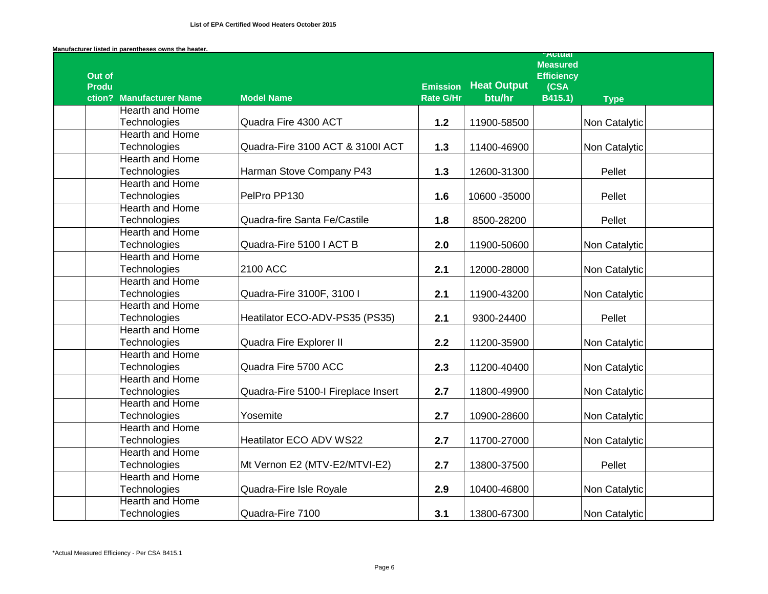|                          |                                     |                  |                    | <b>AULUAI</b><br><b>Measured</b> |               |  |
|--------------------------|-------------------------------------|------------------|--------------------|----------------------------------|---------------|--|
| Out of<br><b>Produ</b>   |                                     | <b>Emission</b>  | <b>Heat Output</b> | <b>Efficiency</b><br>(CSA)       |               |  |
| ction? Manufacturer Name | <b>Model Name</b>                   | <b>Rate G/Hr</b> | btu/hr             | B415.1)                          | <b>Type</b>   |  |
| <b>Hearth and Home</b>   |                                     |                  |                    |                                  |               |  |
| Technologies             | Quadra Fire 4300 ACT                | 1.2              | 11900-58500        |                                  | Non Catalytic |  |
| <b>Hearth and Home</b>   |                                     |                  |                    |                                  |               |  |
| Technologies             | Quadra-Fire 3100 ACT & 3100I ACT    | 1.3              | 11400-46900        |                                  | Non Catalytic |  |
| <b>Hearth and Home</b>   |                                     |                  |                    |                                  |               |  |
| Technologies             | Harman Stove Company P43            | $1.3$            | 12600-31300        |                                  | Pellet        |  |
| <b>Hearth and Home</b>   |                                     |                  |                    |                                  |               |  |
| Technologies             | PelPro PP130                        | 1.6              | 10600 - 35000      |                                  | Pellet        |  |
| <b>Hearth and Home</b>   |                                     |                  |                    |                                  |               |  |
| Technologies             | Quadra-fire Santa Fe/Castile        | 1.8              | 8500-28200         |                                  | Pellet        |  |
| <b>Hearth and Home</b>   |                                     |                  |                    |                                  |               |  |
| Technologies             | Quadra-Fire 5100   ACT B            | 2.0              | 11900-50600        |                                  | Non Catalytic |  |
| <b>Hearth and Home</b>   |                                     |                  |                    |                                  |               |  |
| Technologies             | 2100 ACC                            | 2.1              | 12000-28000        |                                  | Non Catalytic |  |
| <b>Hearth and Home</b>   |                                     |                  |                    |                                  |               |  |
| Technologies             | Quadra-Fire 3100F, 3100 I           | 2.1              | 11900-43200        |                                  | Non Catalytic |  |
| <b>Hearth and Home</b>   |                                     |                  |                    |                                  |               |  |
| Technologies             | Heatilator ECO-ADV-PS35 (PS35)      | 2.1              | 9300-24400         |                                  | Pellet        |  |
| <b>Hearth and Home</b>   |                                     |                  |                    |                                  |               |  |
| Technologies             | Quadra Fire Explorer II             | 2.2              | 11200-35900        |                                  | Non Catalytic |  |
| <b>Hearth and Home</b>   |                                     |                  |                    |                                  |               |  |
| Technologies             | Quadra Fire 5700 ACC                | 2.3              | 11200-40400        |                                  | Non Catalytic |  |
| <b>Hearth and Home</b>   |                                     |                  |                    |                                  |               |  |
| Technologies             | Quadra-Fire 5100-I Fireplace Insert | 2.7              | 11800-49900        |                                  | Non Catalytic |  |
| <b>Hearth and Home</b>   |                                     |                  |                    |                                  |               |  |
| Technologies             | Yosemite                            | 2.7              | 10900-28600        |                                  | Non Catalytic |  |
| <b>Hearth and Home</b>   |                                     |                  |                    |                                  |               |  |
| Technologies             | Heatilator ECO ADV WS22             | 2.7              | 11700-27000        |                                  | Non Catalytic |  |
| <b>Hearth and Home</b>   |                                     |                  |                    |                                  |               |  |
| Technologies             | Mt Vernon E2 (MTV-E2/MTVI-E2)       | 2.7              | 13800-37500        |                                  | Pellet        |  |
| <b>Hearth and Home</b>   |                                     |                  |                    |                                  |               |  |
| Technologies             | Quadra-Fire Isle Royale             | 2.9              | 10400-46800        |                                  | Non Catalytic |  |
| <b>Hearth and Home</b>   |                                     |                  |                    |                                  |               |  |
| Technologies             | Quadra-Fire 7100                    | 3.1              | 13800-67300        |                                  | Non Catalytic |  |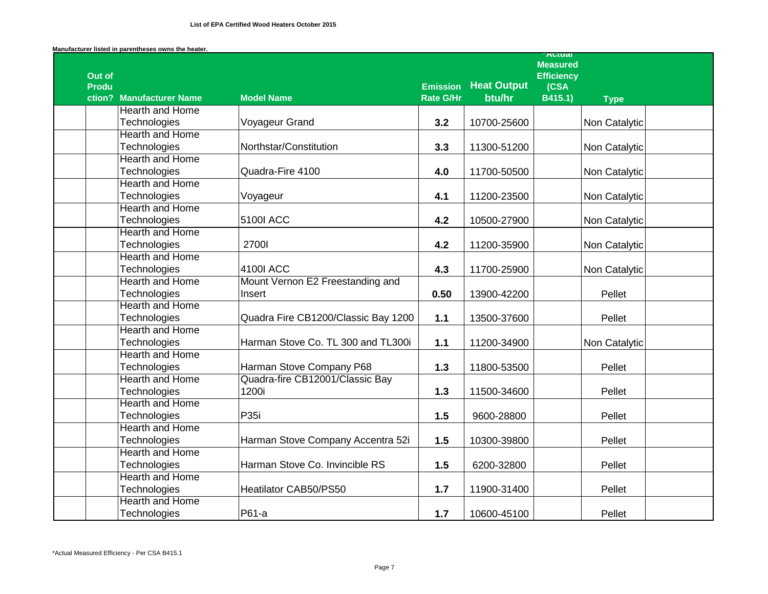|                        |                          |                                     |                  |                    | <b>AULUAI</b><br><b>Measured</b> |               |  |
|------------------------|--------------------------|-------------------------------------|------------------|--------------------|----------------------------------|---------------|--|
| Out of<br><b>Produ</b> |                          |                                     | <b>Emission</b>  | <b>Heat Output</b> | <b>Efficiency</b><br>(CSA        |               |  |
|                        | ction? Manufacturer Name | <b>Model Name</b>                   | <b>Rate G/Hr</b> | btu/hr             | B415.1)                          | <b>Type</b>   |  |
|                        | <b>Hearth and Home</b>   |                                     |                  |                    |                                  |               |  |
|                        | Technologies             | Voyageur Grand                      | 3.2              | 10700-25600        |                                  | Non Catalytic |  |
|                        | <b>Hearth and Home</b>   |                                     |                  |                    |                                  |               |  |
|                        | Technologies             | Northstar/Constitution              | 3.3              | 11300-51200        |                                  | Non Catalytic |  |
|                        | <b>Hearth and Home</b>   |                                     |                  |                    |                                  |               |  |
|                        | Technologies             | Quadra-Fire 4100                    | 4.0              | 11700-50500        |                                  | Non Catalytic |  |
|                        | <b>Hearth and Home</b>   |                                     |                  |                    |                                  |               |  |
|                        | Technologies             | Voyageur                            | 4.1              | 11200-23500        |                                  | Non Catalytic |  |
|                        | <b>Hearth and Home</b>   |                                     |                  |                    |                                  |               |  |
|                        | Technologies             | <b>5100I ACC</b>                    | 4.2              | 10500-27900        |                                  | Non Catalytic |  |
|                        | <b>Hearth and Home</b>   |                                     |                  |                    |                                  |               |  |
|                        | Technologies             | 27001                               | 4.2              | 11200-35900        |                                  | Non Catalytic |  |
|                        | <b>Hearth and Home</b>   |                                     |                  |                    |                                  |               |  |
|                        | Technologies             | 4100I ACC                           | 4.3              | 11700-25900        |                                  | Non Catalytic |  |
|                        | <b>Hearth and Home</b>   | Mount Vernon E2 Freestanding and    |                  |                    |                                  |               |  |
|                        | Technologies             | Insert                              | 0.50             | 13900-42200        |                                  | Pellet        |  |
|                        | <b>Hearth and Home</b>   |                                     |                  |                    |                                  |               |  |
|                        | Technologies             | Quadra Fire CB1200/Classic Bay 1200 | $1.1$            | 13500-37600        |                                  | Pellet        |  |
|                        | <b>Hearth and Home</b>   |                                     |                  |                    |                                  |               |  |
|                        | Technologies             | Harman Stove Co. TL 300 and TL300i  | $1.1$            | 11200-34900        |                                  | Non Catalytic |  |
|                        | <b>Hearth and Home</b>   |                                     |                  |                    |                                  |               |  |
|                        | Technologies             | Harman Stove Company P68            | $1.3$            | 11800-53500        |                                  | Pellet        |  |
|                        | <b>Hearth and Home</b>   | Quadra-fire CB12001/Classic Bay     |                  |                    |                                  |               |  |
|                        | Technologies             | 1200i                               | $1.3$            | 11500-34600        |                                  | Pellet        |  |
|                        | <b>Hearth and Home</b>   |                                     |                  |                    |                                  |               |  |
|                        | Technologies             | P35i                                | 1.5              | 9600-28800         |                                  | Pellet        |  |
|                        | <b>Hearth and Home</b>   |                                     |                  |                    |                                  |               |  |
|                        | Technologies             | Harman Stove Company Accentra 52i   | 1.5              | 10300-39800        |                                  | Pellet        |  |
|                        | <b>Hearth and Home</b>   |                                     |                  |                    |                                  |               |  |
|                        | Technologies             | Harman Stove Co. Invincible RS      | 1.5              | 6200-32800         |                                  | Pellet        |  |
|                        | <b>Hearth and Home</b>   |                                     |                  |                    |                                  |               |  |
|                        | Technologies             | Heatilator CAB50/PS50               | $1.7$            | 11900-31400        |                                  | Pellet        |  |
|                        | <b>Hearth and Home</b>   |                                     |                  |                    |                                  |               |  |
|                        | Technologies             | P61-a                               | 1.7              | 10600-45100        |                                  | Pellet        |  |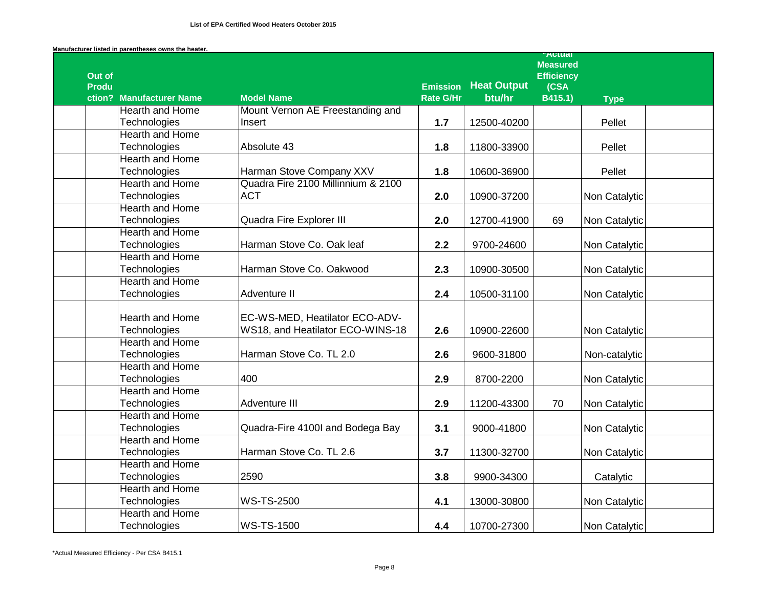|              |                          |                                    |                                     |                    | <b>Autual</b><br><b>Measured</b> |               |  |
|--------------|--------------------------|------------------------------------|-------------------------------------|--------------------|----------------------------------|---------------|--|
| Out of       |                          |                                    |                                     | <b>Heat Output</b> | <b>Efficiency</b>                |               |  |
| <b>Produ</b> | ction? Manufacturer Name | <b>Model Name</b>                  | <b>Emission</b><br><b>Rate G/Hr</b> | btu/hr             | (CSA)<br>B415.1)                 | <b>Type</b>   |  |
|              | <b>Hearth and Home</b>   | Mount Vernon AE Freestanding and   |                                     |                    |                                  |               |  |
|              | Technologies             | Insert                             | 1.7                                 | 12500-40200        |                                  | Pellet        |  |
|              | <b>Hearth and Home</b>   |                                    |                                     |                    |                                  |               |  |
|              | Technologies             | Absolute 43                        | 1.8                                 | 11800-33900        |                                  | Pellet        |  |
|              | <b>Hearth and Home</b>   |                                    |                                     |                    |                                  |               |  |
|              | Technologies             | Harman Stove Company XXV           | 1.8                                 | 10600-36900        |                                  | Pellet        |  |
|              | <b>Hearth and Home</b>   | Quadra Fire 2100 Millinnium & 2100 |                                     |                    |                                  |               |  |
|              | Technologies             | <b>ACT</b>                         | 2.0                                 | 10900-37200        |                                  | Non Catalytic |  |
|              | <b>Hearth and Home</b>   |                                    |                                     |                    |                                  |               |  |
|              | Technologies             | Quadra Fire Explorer III           | 2.0                                 | 12700-41900        | 69                               | Non Catalytic |  |
|              | <b>Hearth and Home</b>   |                                    |                                     |                    |                                  |               |  |
|              | Technologies             | Harman Stove Co. Oak leaf          | 2.2                                 | 9700-24600         |                                  | Non Catalytic |  |
|              | <b>Hearth and Home</b>   |                                    |                                     |                    |                                  |               |  |
|              | Technologies             | Harman Stove Co. Oakwood           | 2.3                                 | 10900-30500        |                                  | Non Catalytic |  |
|              | <b>Hearth and Home</b>   |                                    |                                     |                    |                                  |               |  |
|              | Technologies             | Adventure II                       | 2.4                                 | 10500-31100        |                                  | Non Catalytic |  |
|              | Hearth and Home          | EC-WS-MED, Heatilator ECO-ADV-     |                                     |                    |                                  |               |  |
|              | Technologies             | WS18, and Heatilator ECO-WINS-18   | 2.6                                 | 10900-22600        |                                  | Non Catalytic |  |
|              | <b>Hearth and Home</b>   |                                    |                                     |                    |                                  |               |  |
|              | Technologies             | Harman Stove Co. TL 2.0            | 2.6                                 | 9600-31800         |                                  | Non-catalytic |  |
|              | <b>Hearth and Home</b>   |                                    |                                     |                    |                                  |               |  |
|              | Technologies             | 400                                | 2.9                                 | 8700-2200          |                                  | Non Catalytic |  |
|              | <b>Hearth and Home</b>   |                                    |                                     |                    |                                  |               |  |
|              | Technologies             | <b>Adventure III</b>               | 2.9                                 | 11200-43300        | 70                               | Non Catalytic |  |
|              | <b>Hearth and Home</b>   |                                    |                                     |                    |                                  |               |  |
|              | Technologies             | Quadra-Fire 4100I and Bodega Bay   | 3.1                                 | 9000-41800         |                                  | Non Catalytic |  |
|              | <b>Hearth and Home</b>   |                                    |                                     |                    |                                  |               |  |
|              | Technologies             | Harman Stove Co. TL 2.6            | 3.7                                 | 11300-32700        |                                  | Non Catalytic |  |
|              | <b>Hearth and Home</b>   |                                    |                                     |                    |                                  |               |  |
|              | Technologies             | 2590                               | 3.8                                 | 9900-34300         |                                  | Catalytic     |  |
|              | <b>Hearth and Home</b>   |                                    |                                     |                    |                                  |               |  |
|              | Technologies             | <b>WS-TS-2500</b>                  | 4.1                                 | 13000-30800        |                                  | Non Catalytic |  |
|              | <b>Hearth and Home</b>   |                                    |                                     |                    |                                  |               |  |
|              | Technologies             | <b>WS-TS-1500</b>                  | 4.4                                 | 10700-27300        |                                  | Non Catalytic |  |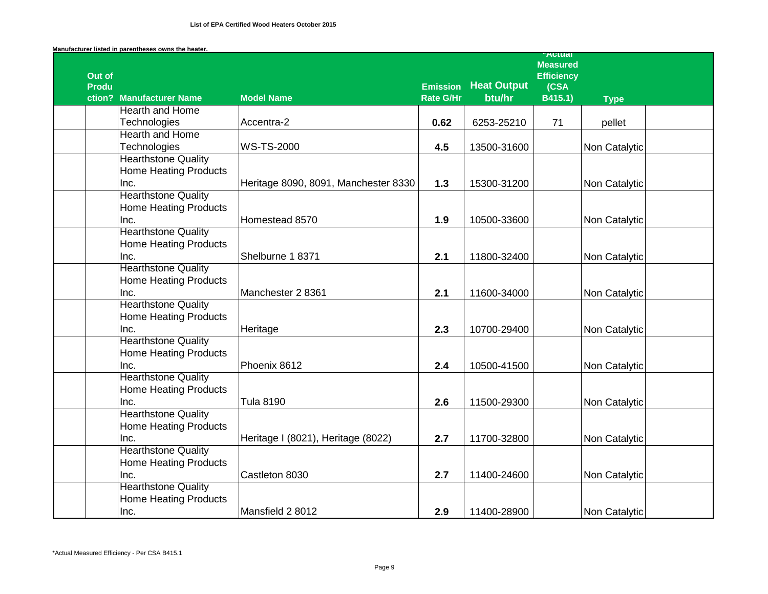|                        |                                    |                                      |                                     |                              | <b>AULUAI</b><br><b>Measured</b>     |               |  |
|------------------------|------------------------------------|--------------------------------------|-------------------------------------|------------------------------|--------------------------------------|---------------|--|
| Out of<br><b>Produ</b> | ction? Manufacturer Name           | <b>Model Name</b>                    | <b>Emission</b><br><b>Rate G/Hr</b> | <b>Heat Output</b><br>btu/hr | <b>Efficiency</b><br>(CSA<br>B415.1) | <b>Type</b>   |  |
|                        | <b>Hearth and Home</b>             |                                      |                                     |                              |                                      |               |  |
|                        | Technologies                       | Accentra-2                           | 0.62                                | 6253-25210                   | 71                                   | pellet        |  |
|                        | <b>Hearth and Home</b>             |                                      |                                     |                              |                                      |               |  |
|                        | Technologies                       | <b>WS-TS-2000</b>                    | 4.5                                 | 13500-31600                  |                                      | Non Catalytic |  |
|                        | <b>Hearthstone Quality</b>         |                                      |                                     |                              |                                      |               |  |
|                        | <b>Home Heating Products</b>       |                                      |                                     |                              |                                      |               |  |
|                        | Inc.                               | Heritage 8090, 8091, Manchester 8330 | $1.3$                               | 15300-31200                  |                                      | Non Catalytic |  |
|                        | <b>Hearthstone Quality</b>         |                                      |                                     |                              |                                      |               |  |
|                        | <b>Home Heating Products</b>       |                                      |                                     |                              |                                      |               |  |
|                        | Inc.                               | Homestead 8570                       | 1.9                                 | 10500-33600                  |                                      | Non Catalytic |  |
|                        | <b>Hearthstone Quality</b>         |                                      |                                     |                              |                                      |               |  |
|                        | <b>Home Heating Products</b>       |                                      |                                     |                              |                                      |               |  |
|                        | Inc.                               | Shelburne 1 8371                     | 2.1                                 | 11800-32400                  |                                      | Non Catalytic |  |
|                        | <b>Hearthstone Quality</b>         |                                      |                                     |                              |                                      |               |  |
|                        | <b>Home Heating Products</b>       |                                      |                                     |                              |                                      |               |  |
|                        | Inc.                               | Manchester 2 8361                    | 2.1                                 | 11600-34000                  |                                      | Non Catalytic |  |
|                        | <b>Hearthstone Quality</b>         |                                      |                                     |                              |                                      |               |  |
|                        | <b>Home Heating Products</b>       |                                      |                                     |                              |                                      |               |  |
|                        | Inc.                               | Heritage                             | 2.3                                 | 10700-29400                  |                                      | Non Catalytic |  |
|                        | <b>Hearthstone Quality</b>         |                                      |                                     |                              |                                      |               |  |
|                        | <b>Home Heating Products</b>       |                                      |                                     |                              |                                      |               |  |
|                        | Inc.                               | Phoenix 8612                         | 2.4                                 | 10500-41500                  |                                      | Non Catalytic |  |
|                        | <b>Hearthstone Quality</b>         |                                      |                                     |                              |                                      |               |  |
|                        | <b>Home Heating Products</b>       |                                      |                                     |                              |                                      |               |  |
|                        | Inc.                               | <b>Tula 8190</b>                     | 2.6                                 | 11500-29300                  |                                      | Non Catalytic |  |
|                        | <b>Hearthstone Quality</b>         |                                      |                                     |                              |                                      |               |  |
|                        | <b>Home Heating Products</b>       |                                      |                                     |                              |                                      |               |  |
|                        | Inc.<br><b>Hearthstone Quality</b> | Heritage I (8021), Heritage (8022)   | 2.7                                 | 11700-32800                  |                                      | Non Catalytic |  |
|                        | <b>Home Heating Products</b>       |                                      |                                     |                              |                                      |               |  |
|                        | Inc.                               | Castleton 8030                       | 2.7                                 | 11400-24600                  |                                      | Non Catalytic |  |
|                        | <b>Hearthstone Quality</b>         |                                      |                                     |                              |                                      |               |  |
|                        | <b>Home Heating Products</b>       |                                      |                                     |                              |                                      |               |  |
|                        | Inc.                               | Mansfield 2 8012                     | 2.9                                 | 11400-28900                  |                                      | Non Catalytic |  |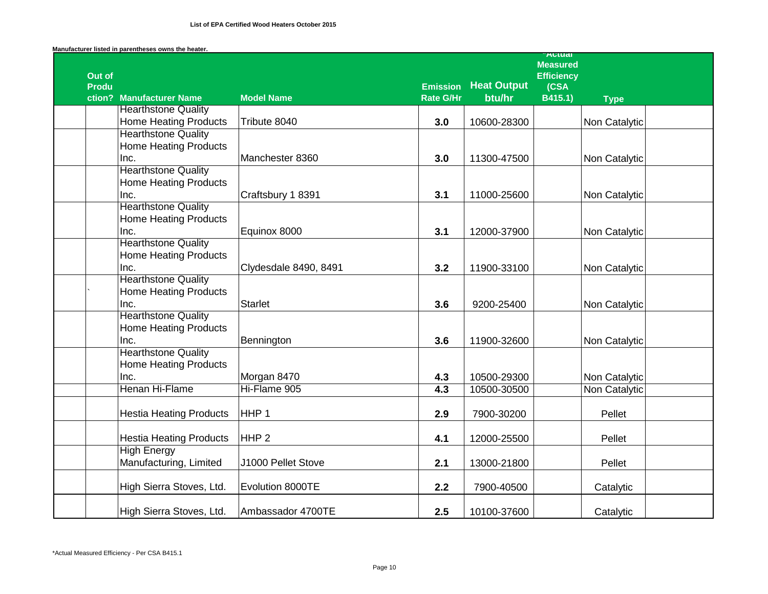|                        |                                                            |                       |                  |                    | <b>Actual</b><br><b>Measured</b> |               |  |
|------------------------|------------------------------------------------------------|-----------------------|------------------|--------------------|----------------------------------|---------------|--|
| Out of<br><b>Produ</b> |                                                            |                       | <b>Emission</b>  | <b>Heat Output</b> | <b>Efficiency</b><br>(CSA        |               |  |
|                        | ction? Manufacturer Name                                   | <b>Model Name</b>     | <b>Rate G/Hr</b> | btu/hr             | B415.1)                          | <b>Type</b>   |  |
|                        | <b>Hearthstone Quality</b><br><b>Home Heating Products</b> | Tribute 8040          |                  |                    |                                  |               |  |
|                        | <b>Hearthstone Quality</b>                                 |                       | 3.0              | 10600-28300        |                                  | Non Catalytic |  |
|                        | <b>Home Heating Products</b>                               |                       |                  |                    |                                  |               |  |
|                        | Inc.                                                       | Manchester 8360       | 3.0              | 11300-47500        |                                  | Non Catalytic |  |
|                        | <b>Hearthstone Quality</b>                                 |                       |                  |                    |                                  |               |  |
|                        | <b>Home Heating Products</b>                               |                       |                  |                    |                                  |               |  |
|                        | Inc.                                                       | Craftsbury 1 8391     | 3.1              | 11000-25600        |                                  | Non Catalytic |  |
|                        | <b>Hearthstone Quality</b>                                 |                       |                  |                    |                                  |               |  |
|                        | <b>Home Heating Products</b>                               |                       |                  |                    |                                  |               |  |
|                        | Inc.                                                       | Equinox 8000          | 3.1              | 12000-37900        |                                  | Non Catalytic |  |
|                        | <b>Hearthstone Quality</b>                                 |                       |                  |                    |                                  |               |  |
|                        | <b>Home Heating Products</b>                               |                       |                  |                    |                                  |               |  |
|                        | Inc.                                                       | Clydesdale 8490, 8491 | 3.2              | 11900-33100        |                                  | Non Catalytic |  |
|                        | <b>Hearthstone Quality</b>                                 |                       |                  |                    |                                  |               |  |
|                        | <b>Home Heating Products</b>                               |                       |                  |                    |                                  |               |  |
|                        | Inc.                                                       | <b>Starlet</b>        | 3.6              | 9200-25400         |                                  | Non Catalytic |  |
|                        | <b>Hearthstone Quality</b>                                 |                       |                  |                    |                                  |               |  |
|                        | <b>Home Heating Products</b>                               |                       |                  |                    |                                  |               |  |
|                        | Inc.<br><b>Hearthstone Quality</b>                         | Bennington            | 3.6              | 11900-32600        |                                  | Non Catalytic |  |
|                        | <b>Home Heating Products</b>                               |                       |                  |                    |                                  |               |  |
|                        | Inc.                                                       | Morgan 8470           | 4.3              | 10500-29300        |                                  | Non Catalytic |  |
|                        | Henan Hi-Flame                                             | Hi-Flame 905          | 4.3              | 10500-30500        |                                  | Non Catalytic |  |
|                        |                                                            |                       |                  |                    |                                  |               |  |
|                        | <b>Hestia Heating Products</b>                             | HHP <sub>1</sub>      | 2.9              | 7900-30200         |                                  | Pellet        |  |
|                        |                                                            |                       |                  |                    |                                  |               |  |
|                        | <b>Hestia Heating Products</b>                             | HHP <sub>2</sub>      | 4.1              | 12000-25500        |                                  | Pellet        |  |
|                        | <b>High Energy</b>                                         |                       |                  |                    |                                  |               |  |
|                        | Manufacturing, Limited                                     | J1000 Pellet Stove    | 2.1              | 13000-21800        |                                  | Pellet        |  |
|                        |                                                            |                       |                  |                    |                                  |               |  |
|                        | High Sierra Stoves, Ltd.                                   | Evolution 8000TE      | 2.2              | 7900-40500         |                                  | Catalytic     |  |
|                        |                                                            |                       |                  |                    |                                  |               |  |
|                        | High Sierra Stoves, Ltd.                                   | Ambassador 4700TE     | 2.5              | 10100-37600        |                                  | Catalytic     |  |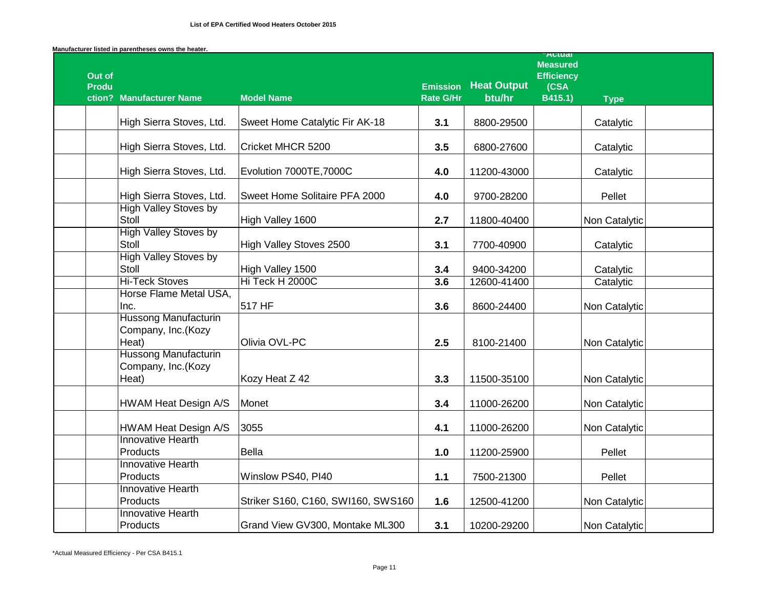|                        |                                                            |                                    |                  |                    | Autudi<br><b>Measured</b> |               |
|------------------------|------------------------------------------------------------|------------------------------------|------------------|--------------------|---------------------------|---------------|
| Out of<br><b>Produ</b> |                                                            |                                    | <b>Emission</b>  | <b>Heat Output</b> | <b>Efficiency</b><br>(CSA |               |
|                        | ction? Manufacturer Name                                   | <b>Model Name</b>                  | <b>Rate G/Hr</b> | btu/hr             | B415.1)                   | <b>Type</b>   |
|                        |                                                            |                                    |                  |                    |                           |               |
|                        | High Sierra Stoves, Ltd.                                   | Sweet Home Catalytic Fir AK-18     | 3.1              | 8800-29500         |                           | Catalytic     |
|                        | High Sierra Stoves, Ltd.                                   | Cricket MHCR 5200                  | 3.5              | 6800-27600         |                           | Catalytic     |
|                        | High Sierra Stoves, Ltd.                                   | Evolution 7000TE, 7000C            | 4.0              | 11200-43000        |                           | Catalytic     |
|                        | High Sierra Stoves, Ltd.                                   | Sweet Home Solitaire PFA 2000      | 4.0              | 9700-28200         |                           | Pellet        |
|                        | <b>High Valley Stoves by</b><br>Stoll                      | High Valley 1600                   | 2.7              | 11800-40400        |                           | Non Catalytic |
|                        | <b>High Valley Stoves by</b><br>Stoll                      | High Valley Stoves 2500            | 3.1              | 7700-40900         |                           | Catalytic     |
|                        | <b>High Valley Stoves by</b><br>Stoll                      | High Valley 1500                   | 3.4              | 9400-34200         |                           | Catalytic     |
|                        | <b>Hi-Teck Stoves</b>                                      | Hi Teck H 2000C                    | 3.6              | 12600-41400        |                           | Catalytic     |
|                        | Horse Flame Metal USA,                                     |                                    |                  |                    |                           |               |
|                        | Inc.                                                       | 517 HF                             | 3.6              | 8600-24400         |                           | Non Catalytic |
|                        | <b>Hussong Manufacturin</b><br>Company, Inc.(Kozy<br>Heat) | Olivia OVL-PC                      | 2.5              | 8100-21400         |                           | Non Catalytic |
|                        | <b>Hussong Manufacturin</b><br>Company, Inc.(Kozy          |                                    |                  |                    |                           |               |
|                        | Heat)                                                      | Kozy Heat Z 42                     | 3.3              | 11500-35100        |                           | Non Catalytic |
|                        | HWAM Heat Design A/S                                       | Monet                              | 3.4              | 11000-26200        |                           | Non Catalytic |
|                        | <b>HWAM Heat Design A/S</b>                                | 3055                               | 4.1              | 11000-26200        |                           | Non Catalytic |
|                        | <b>Innovative Hearth</b>                                   |                                    |                  |                    |                           |               |
|                        | Products                                                   | <b>Bella</b>                       | 1.0              | 11200-25900        |                           | Pellet        |
|                        | <b>Innovative Hearth</b><br>Products                       | Winslow PS40, PI40                 |                  |                    |                           | Pellet        |
|                        | <b>Innovative Hearth</b>                                   |                                    | $1.1$            | 7500-21300         |                           |               |
|                        | Products                                                   | Striker S160, C160, SWI160, SWS160 | 1.6              | 12500-41200        |                           | Non Catalytic |
|                        | <b>Innovative Hearth</b>                                   |                                    |                  |                    |                           |               |
|                        | Products                                                   | Grand View GV300, Montake ML300    | 3.1              | 10200-29200        |                           | Non Catalytic |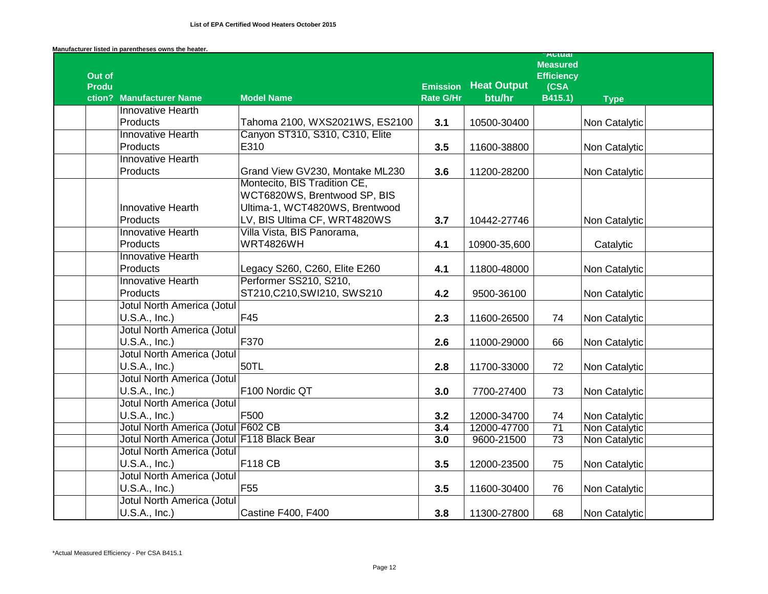|                        |                                                    |                                 |                  |                    | <b>Actual</b><br><b>Measured</b> |               |
|------------------------|----------------------------------------------------|---------------------------------|------------------|--------------------|----------------------------------|---------------|
| Out of<br><b>Produ</b> |                                                    |                                 | <b>Emission</b>  | <b>Heat Output</b> | <b>Efficiency</b><br>(CSA        |               |
|                        | ction? Manufacturer Name                           | <b>Model Name</b>               | <b>Rate G/Hr</b> | btu/hr             | $\overline{B415.1}$              | <b>Type</b>   |
|                        | Innovative Hearth                                  |                                 |                  |                    |                                  |               |
|                        | Products                                           | Tahoma 2100, WXS2021WS, ES2100  | 3.1              | 10500-30400        |                                  | Non Catalytic |
|                        | <b>Innovative Hearth</b>                           | Canyon ST310, S310, C310, Elite |                  |                    |                                  |               |
|                        | Products                                           | E310                            | 3.5              | 11600-38800        |                                  | Non Catalytic |
|                        | <b>Innovative Hearth</b>                           |                                 |                  |                    |                                  |               |
|                        | Products                                           | Grand View GV230, Montake ML230 | 3.6              | 11200-28200        |                                  | Non Catalytic |
|                        |                                                    | Montecito, BIS Tradition CE,    |                  |                    |                                  |               |
|                        |                                                    | WCT6820WS, Brentwood SP, BIS    |                  |                    |                                  |               |
|                        | Innovative Hearth                                  | Ultima-1, WCT4820WS, Brentwood  |                  |                    |                                  |               |
|                        | Products                                           | LV, BIS Ultima CF, WRT4820WS    | 3.7              | 10442-27746        |                                  | Non Catalytic |
|                        | <b>Innovative Hearth</b>                           | Villa Vista, BIS Panorama,      |                  |                    |                                  |               |
|                        | Products                                           | <b>WRT4826WH</b>                | 4.1              | 10900-35,600       |                                  | Catalytic     |
|                        | <b>Innovative Hearth</b>                           |                                 |                  |                    |                                  |               |
|                        | Products                                           | Legacy S260, C260, Elite E260   | 4.1              | 11800-48000        |                                  | Non Catalytic |
|                        | <b>Innovative Hearth</b>                           | Performer SS210, S210,          |                  |                    |                                  |               |
|                        | Products                                           | ST210,C210,SWI210, SWS210       | 4.2              | 9500-36100         |                                  | Non Catalytic |
|                        | <b>Jotul North America (Jotul</b>                  |                                 |                  |                    |                                  |               |
|                        | U.S.A., Inc.)                                      | F45                             | 2.3              | 11600-26500        | 74                               | Non Catalytic |
|                        | <b>Jotul North America (Jotul</b>                  |                                 |                  |                    |                                  |               |
|                        | U.S.A., Inc.)                                      | F370                            | 2.6              | 11000-29000        | 66                               | Non Catalytic |
|                        | <b>Jotul North America (Jotul</b>                  |                                 |                  |                    |                                  |               |
|                        | U.S.A., Inc.)                                      | 50TL                            | 2.8              | 11700-33000        | 72                               | Non Catalytic |
|                        | <b>Jotul North America (Jotul</b>                  |                                 |                  |                    |                                  |               |
|                        | U.S.A., Inc.)                                      | F100 Nordic QT                  | 3.0              | 7700-27400         | 73                               | Non Catalytic |
|                        | <b>Jotul North America (Jotul</b>                  |                                 |                  |                    |                                  |               |
|                        | U.S.A., Inc.)                                      | F500                            | 3.2              | 12000-34700        | 74                               | Non Catalytic |
|                        | Jotul North America (Jotul F602 CB                 |                                 | 3.4              | 12000-47700        | $\overline{71}$                  | Non Catalytic |
|                        | Jotul North America (Jotul F118 Black Bear         |                                 | 3.0              | 9600-21500         | $\overline{73}$                  | Non Catalytic |
|                        | Jotul North America (Jotul                         | <b>F118 CB</b>                  |                  |                    |                                  |               |
|                        | U.S.A., Inc.)<br><b>Jotul North America (Jotul</b> |                                 | 3.5              | 12000-23500        | 75                               | Non Catalytic |
|                        | U.S.A., Inc.)                                      | F <sub>55</sub>                 | 3.5              | 11600-30400        | 76                               |               |
|                        | <b>Jotul North America (Jotul</b>                  |                                 |                  |                    |                                  | Non Catalytic |
|                        | U.S.A., Inc.)                                      | <b>Castine F400, F400</b>       | 3.8              | 11300-27800        | 68                               | Non Catalytic |
|                        |                                                    |                                 |                  |                    |                                  |               |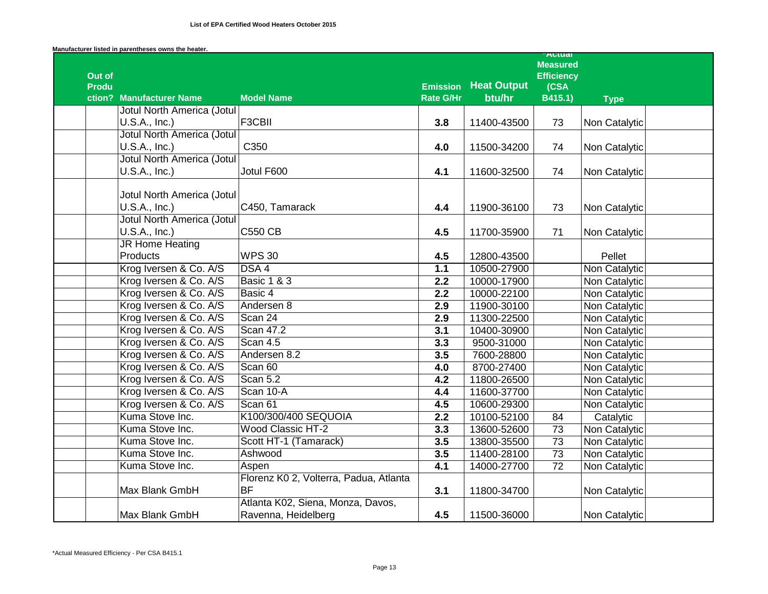|              |                                   |                                        |                              |                    | Autudi<br><b>Measured</b> |               |
|--------------|-----------------------------------|----------------------------------------|------------------------------|--------------------|---------------------------|---------------|
| Out of       |                                   |                                        |                              | <b>Heat Output</b> | <b>Efficiency</b>         |               |
| <b>Produ</b> | ction? Manufacturer Name          | <b>Model Name</b>                      | <b>Emission</b><br>Rate G/Hr | btu/hr             | (CSA<br>B415.1)           | <b>Type</b>   |
|              | Jotul North America (Jotul        |                                        |                              |                    |                           |               |
|              | U.S.A., Inc.)                     | F3CBII                                 | 3.8                          | 11400-43500        | 73                        | Non Catalytic |
|              | <b>Jotul North America (Jotul</b> |                                        |                              |                    |                           |               |
|              | U.S.A., Inc.)                     | C350                                   | 4.0                          | 11500-34200        | 74                        | Non Catalytic |
|              | <b>Jotul North America (Jotul</b> |                                        |                              |                    |                           |               |
|              | U.S.A., Inc.)                     | Jotul F600                             | 4.1                          | 11600-32500        | 74                        | Non Catalytic |
|              | Jotul North America (Jotul        |                                        |                              |                    |                           |               |
|              | U.S.A., Inc.)                     | C450, Tamarack                         | 4.4                          | 11900-36100        | 73                        | Non Catalytic |
|              | <b>Jotul North America (Jotul</b> |                                        |                              |                    |                           |               |
|              | U.S.A., Inc.)                     | <b>C550 CB</b>                         | 4.5                          | 11700-35900        | 71                        | Non Catalytic |
|              | <b>JR Home Heating</b>            |                                        |                              |                    |                           |               |
|              | Products                          | <b>WPS 30</b>                          | 4.5                          | 12800-43500        |                           | Pellet        |
|              | Krog Iversen & Co. A/S            | DSA 4                                  | $1.1$                        | 10500-27900        |                           | Non Catalytic |
|              | Krog Iversen & Co. A/S            | <b>Basic 1 &amp; 3</b>                 | 2.2                          | 10000-17900        |                           | Non Catalytic |
|              | Krog Iversen & Co. A/S            | Basic 4                                | 2.2                          | 10000-22100        |                           | Non Catalytic |
|              | Krog Iversen & Co. A/S            | Andersen 8                             | 2.9                          | 11900-30100        |                           | Non Catalytic |
|              | Krog Iversen & Co. A/S            | Scan 24                                | 2.9                          | 11300-22500        |                           | Non Catalytic |
|              | Krog Iversen & Co. A/S            | <b>Scan 47.2</b>                       | 3.1                          | 10400-30900        |                           | Non Catalytic |
|              | Krog Iversen & Co. A/S            | Scan 4.5                               | 3.3                          | 9500-31000         |                           | Non Catalytic |
|              | Krog Iversen & Co. A/S            | Andersen 8.2                           | 3.5                          | 7600-28800         |                           | Non Catalytic |
|              | Krog Iversen & Co. A/S            | Scan 60                                | 4.0                          | 8700-27400         |                           | Non Catalytic |
|              | Krog Iversen & Co. A/S            | Scan 5.2                               | 4.2                          | 11800-26500        |                           | Non Catalytic |
|              | Krog Iversen & Co. A/S            | Scan 10-A                              | 4.4                          | 11600-37700        |                           | Non Catalytic |
|              | Krog Iversen & Co. A/S            | Scan 61                                | 4.5                          | 10600-29300        |                           | Non Catalytic |
|              | Kuma Stove Inc.                   | K100/300/400 SEQUOIA                   | $\overline{2.2}$             | 10100-52100        | 84                        | Catalytic     |
|              | Kuma Stove Inc.                   | <b>Wood Classic HT-2</b>               | 3.3                          | 13600-52600        | $\overline{73}$           | Non Catalytic |
|              | Kuma Stove Inc.                   | Scott HT-1 (Tamarack)                  | 3.5                          | 13800-35500        | $\overline{73}$           | Non Catalytic |
|              | Kuma Stove Inc.                   | Ashwood                                | $\overline{3.5}$             | 11400-28100        | $\overline{73}$           | Non Catalytic |
|              | Kuma Stove Inc.                   | Aspen                                  | 4.1                          | 14000-27700        | $\overline{72}$           | Non Catalytic |
|              |                                   | Florenz K0 2, Volterra, Padua, Atlanta |                              |                    |                           |               |
|              | Max Blank GmbH                    | <b>BF</b>                              | 3.1                          | 11800-34700        |                           | Non Catalytic |
|              |                                   | Atlanta K02, Siena, Monza, Davos,      |                              |                    |                           |               |
|              | Max Blank GmbH                    | Ravenna, Heidelberg                    | 4.5                          | 11500-36000        |                           | Non Catalytic |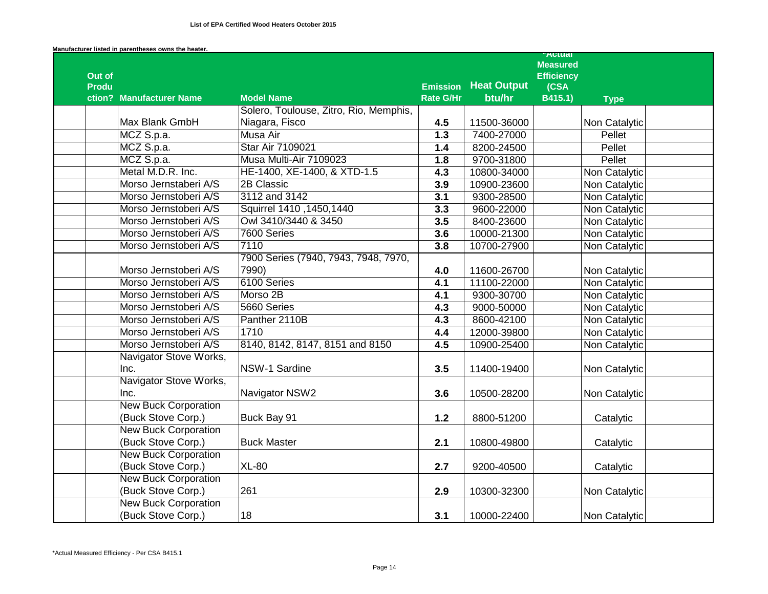|              |                             |                                        |                                     |                              | <b>Actual</b><br><b>Measured</b> |               |  |
|--------------|-----------------------------|----------------------------------------|-------------------------------------|------------------------------|----------------------------------|---------------|--|
| Out of       |                             |                                        |                                     |                              | <b>Efficiency</b>                |               |  |
| <b>Produ</b> | ction? Manufacturer Name    | <b>Model Name</b>                      | <b>Emission</b><br><b>Rate G/Hr</b> | <b>Heat Output</b><br>btu/hr | (CSA<br>B415.1)                  |               |  |
|              |                             | Solero, Toulouse, Zitro, Rio, Memphis, |                                     |                              |                                  | <b>Type</b>   |  |
|              | Max Blank GmbH              | Niagara, Fisco                         | 4.5                                 | 11500-36000                  |                                  | Non Catalytic |  |
|              | MCZ S.p.a.                  | Musa Air                               | 1.3                                 | 7400-27000                   |                                  | Pellet        |  |
|              | MCZ S.p.a.                  | <b>Star Air 7109021</b>                | 1.4                                 | 8200-24500                   |                                  | Pellet        |  |
|              | MCZ S.p.a.                  | Musa Multi-Air 7109023                 | 1.8                                 | 9700-31800                   |                                  | Pellet        |  |
|              | Metal M.D.R. Inc.           | HE-1400, XE-1400, & XTD-1.5            | 4.3                                 | 10800-34000                  |                                  | Non Catalytic |  |
|              | Morso Jernstaberi A/S       | 2B Classic                             | 3.9                                 | 10900-23600                  |                                  | Non Catalytic |  |
|              | Morso Jernstoberi A/S       | 3112 and 3142                          | 3.1                                 | 9300-28500                   |                                  | Non Catalytic |  |
|              | Morso Jernstoberi A/S       | Squirrel 1410, 1450, 1440              | 3.3                                 | 9600-22000                   |                                  | Non Catalytic |  |
|              | Morso Jernstoberi A/S       | Owl 3410/3440 & 3450                   | 3.5                                 | 8400-23600                   |                                  | Non Catalytic |  |
|              | Morso Jernstoberi A/S       | 7600 Series                            | 3.6                                 | 10000-21300                  |                                  | Non Catalytic |  |
|              | Morso Jernstoberi A/S       | 7110                                   | 3.8                                 | 10700-27900                  |                                  | Non Catalytic |  |
|              |                             | 7900 Series (7940, 7943, 7948, 7970,   |                                     |                              |                                  |               |  |
|              | Morso Jernstoberi A/S       | 7990)                                  | 4.0                                 | 11600-26700                  |                                  | Non Catalytic |  |
|              | Morso Jernstoberi A/S       | 6100 Series                            | 4.1                                 | 11100-22000                  |                                  | Non Catalytic |  |
|              | Morso Jernstoberi A/S       | Morso 2B                               | 4.1                                 | 9300-30700                   |                                  | Non Catalytic |  |
|              | Morso Jernstoberi A/S       | 5660 Series                            | 4.3                                 | 9000-50000                   |                                  | Non Catalytic |  |
|              | Morso Jernstoberi A/S       | Panther 2110B                          | 4.3                                 | 8600-42100                   |                                  | Non Catalytic |  |
|              | Morso Jernstoberi A/S       | 1710                                   | 4.4                                 | 12000-39800                  |                                  | Non Catalytic |  |
|              | Morso Jernstoberi A/S       | 8140, 8142, 8147, 8151 and 8150        | 4.5                                 | 10900-25400                  |                                  | Non Catalytic |  |
|              | Navigator Stove Works,      |                                        |                                     |                              |                                  |               |  |
|              | Inc.                        | NSW-1 Sardine                          | 3.5                                 | 11400-19400                  |                                  | Non Catalytic |  |
|              | Navigator Stove Works,      |                                        |                                     |                              |                                  |               |  |
|              | Inc.                        | Navigator NSW2                         | 3.6                                 | 10500-28200                  |                                  | Non Catalytic |  |
|              | <b>New Buck Corporation</b> |                                        |                                     |                              |                                  |               |  |
|              | (Buck Stove Corp.)          | Buck Bay 91                            | $1.2$                               | 8800-51200                   |                                  | Catalytic     |  |
|              | <b>New Buck Corporation</b> |                                        |                                     |                              |                                  |               |  |
|              | (Buck Stove Corp.)          | <b>Buck Master</b>                     | 2.1                                 | 10800-49800                  |                                  | Catalytic     |  |
|              | <b>New Buck Corporation</b> |                                        |                                     |                              |                                  |               |  |
|              | (Buck Stove Corp.)          | <b>XL-80</b>                           | 2.7                                 | 9200-40500                   |                                  | Catalytic     |  |
|              | <b>New Buck Corporation</b> |                                        |                                     |                              |                                  |               |  |
|              | (Buck Stove Corp.)          | 261                                    | 2.9                                 | 10300-32300                  |                                  | Non Catalytic |  |
|              | <b>New Buck Corporation</b> |                                        |                                     |                              |                                  |               |  |
|              | (Buck Stove Corp.)          | 18                                     | 3.1                                 | 10000-22400                  |                                  | Non Catalytic |  |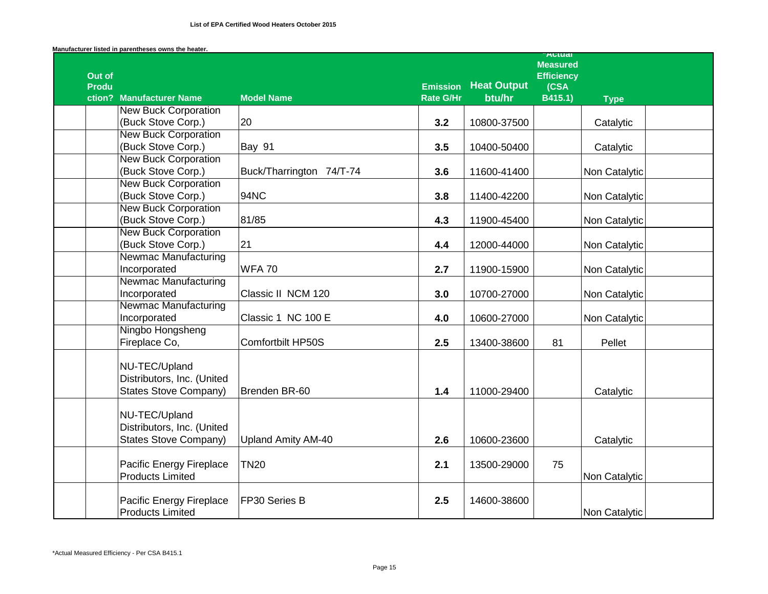|                        |                                      |                           |                  |                    | <b>AULUAI</b><br><b>Measured</b> |               |
|------------------------|--------------------------------------|---------------------------|------------------|--------------------|----------------------------------|---------------|
| Out of<br><b>Produ</b> |                                      |                           | <b>Emission</b>  | <b>Heat Output</b> | <b>Efficiency</b><br>(CSA        |               |
|                        | ction? Manufacturer Name             | <b>Model Name</b>         | <b>Rate G/Hr</b> | btu/hr             | B415.1)                          | <b>Type</b>   |
|                        | <b>New Buck Corporation</b>          |                           |                  |                    |                                  |               |
|                        | (Buck Stove Corp.)                   | 20                        | 3.2              | 10800-37500        |                                  | Catalytic     |
|                        | <b>New Buck Corporation</b>          |                           |                  |                    |                                  |               |
|                        | (Buck Stove Corp.)                   | <b>Bay 91</b>             | 3.5              | 10400-50400        |                                  | Catalytic     |
|                        | <b>New Buck Corporation</b>          |                           |                  |                    |                                  |               |
|                        | (Buck Stove Corp.)                   | Buck/Tharrington 74/T-74  | 3.6              | 11600-41400        |                                  | Non Catalytic |
|                        | <b>New Buck Corporation</b>          |                           |                  |                    |                                  |               |
|                        | (Buck Stove Corp.)                   | 94NC                      | 3.8              | 11400-42200        |                                  | Non Catalytic |
|                        | <b>New Buck Corporation</b>          |                           |                  |                    |                                  |               |
|                        | (Buck Stove Corp.)                   | 81/85                     | 4.3              | 11900-45400        |                                  | Non Catalytic |
|                        | <b>New Buck Corporation</b>          |                           |                  |                    |                                  |               |
|                        | (Buck Stove Corp.)                   | 21                        | 4.4              | 12000-44000        |                                  | Non Catalytic |
|                        | <b>Newmac Manufacturing</b>          |                           |                  |                    |                                  |               |
|                        | Incorporated<br>Newmac Manufacturing | <b>WFA70</b>              | 2.7              | 11900-15900        |                                  | Non Catalytic |
|                        | Incorporated                         | Classic II NCM 120        | 3.0              |                    |                                  |               |
|                        | <b>Newmac Manufacturing</b>          |                           |                  | 10700-27000        |                                  | Non Catalytic |
|                        | Incorporated                         | Classic 1 NC 100 E        | 4.0              | 10600-27000        |                                  | Non Catalytic |
|                        | Ningbo Hongsheng                     |                           |                  |                    |                                  |               |
|                        | Fireplace Co,                        | Comfortbilt HP50S         | 2.5              | 13400-38600        | 81                               | Pellet        |
|                        |                                      |                           |                  |                    |                                  |               |
|                        | NU-TEC/Upland                        |                           |                  |                    |                                  |               |
|                        | Distributors, Inc. (United           |                           |                  |                    |                                  |               |
|                        | <b>States Stove Company)</b>         | Brenden BR-60             | 1.4              | 11000-29400        |                                  | Catalytic     |
|                        |                                      |                           |                  |                    |                                  |               |
|                        | NU-TEC/Upland                        |                           |                  |                    |                                  |               |
|                        | Distributors, Inc. (United           |                           |                  |                    |                                  |               |
|                        | <b>States Stove Company)</b>         | <b>Upland Amity AM-40</b> | 2.6              | 10600-23600        |                                  | Catalytic     |
|                        |                                      |                           |                  |                    |                                  |               |
|                        | Pacific Energy Fireplace             | <b>TN20</b>               | 2.1              | 13500-29000        | 75                               |               |
|                        | <b>Products Limited</b>              |                           |                  |                    |                                  | Non Catalytic |
|                        |                                      |                           |                  |                    |                                  |               |
|                        | Pacific Energy Fireplace             | FP30 Series B             | 2.5              | 14600-38600        |                                  |               |
|                        | <b>Products Limited</b>              |                           |                  |                    |                                  | Non Catalytic |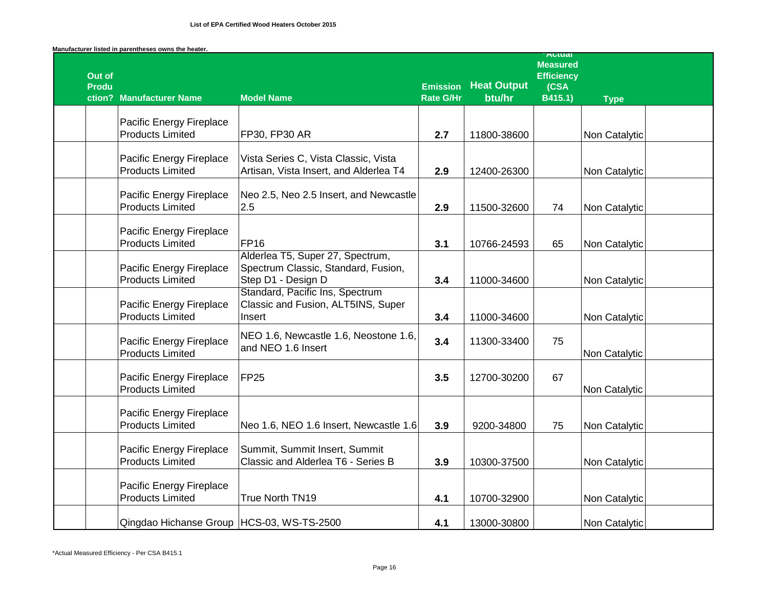| Out of<br><b>Produ</b> |                                                     |                                                                                               | <b>Emission</b>  | <b>Heat Output</b> | <b>Autual</b><br><b>Measured</b><br><b>Efficiency</b><br>(CSA |               |  |
|------------------------|-----------------------------------------------------|-----------------------------------------------------------------------------------------------|------------------|--------------------|---------------------------------------------------------------|---------------|--|
|                        | ction? Manufacturer Name                            | <b>Model Name</b>                                                                             | <b>Rate G/Hr</b> | btu/hr             | B415.1)                                                       | <b>Type</b>   |  |
|                        | Pacific Energy Fireplace<br><b>Products Limited</b> | FP30, FP30 AR                                                                                 | 2.7              | 11800-38600        |                                                               | Non Catalytic |  |
|                        | Pacific Energy Fireplace<br><b>Products Limited</b> | Vista Series C, Vista Classic, Vista<br>Artisan, Vista Insert, and Alderlea T4                | 2.9              | 12400-26300        |                                                               | Non Catalytic |  |
|                        | Pacific Energy Fireplace<br><b>Products Limited</b> | Neo 2.5, Neo 2.5 Insert, and Newcastle<br>2.5                                                 | 2.9              | 11500-32600        | 74                                                            | Non Catalytic |  |
|                        | Pacific Energy Fireplace<br><b>Products Limited</b> | <b>FP16</b>                                                                                   | 3.1              | 10766-24593        | 65                                                            | Non Catalytic |  |
|                        | Pacific Energy Fireplace<br><b>Products Limited</b> | Alderlea T5, Super 27, Spectrum,<br>Spectrum Classic, Standard, Fusion,<br>Step D1 - Design D | 3.4              | 11000-34600        |                                                               | Non Catalytic |  |
|                        | Pacific Energy Fireplace<br><b>Products Limited</b> | Standard, Pacific Ins, Spectrum<br>Classic and Fusion, ALT5INS, Super<br>Insert               | 3.4              | 11000-34600        |                                                               | Non Catalytic |  |
|                        | Pacific Energy Fireplace<br><b>Products Limited</b> | NEO 1.6, Newcastle 1.6, Neostone 1.6,<br>and NEO 1.6 Insert                                   | 3.4              | 11300-33400        | 75                                                            | Non Catalytic |  |
|                        | Pacific Energy Fireplace<br><b>Products Limited</b> | FP <sub>25</sub>                                                                              | 3.5              | 12700-30200        | 67                                                            | Non Catalytic |  |
|                        | Pacific Energy Fireplace<br><b>Products Limited</b> | Neo 1.6, NEO 1.6 Insert, Newcastle 1.6                                                        | 3.9              | 9200-34800         | 75                                                            | Non Catalytic |  |
|                        | Pacific Energy Fireplace<br><b>Products Limited</b> | Summit, Summit Insert, Summit<br>Classic and Alderlea T6 - Series B                           | 3.9              | 10300-37500        |                                                               | Non Catalytic |  |
|                        | Pacific Energy Fireplace<br><b>Products Limited</b> | True North TN19                                                                               | 4.1              | 10700-32900        |                                                               | Non Catalytic |  |
|                        | Qingdao Hichanse Group HCS-03, WS-TS-2500           |                                                                                               | 4.1              | 13000-30800        |                                                               | Non Catalytic |  |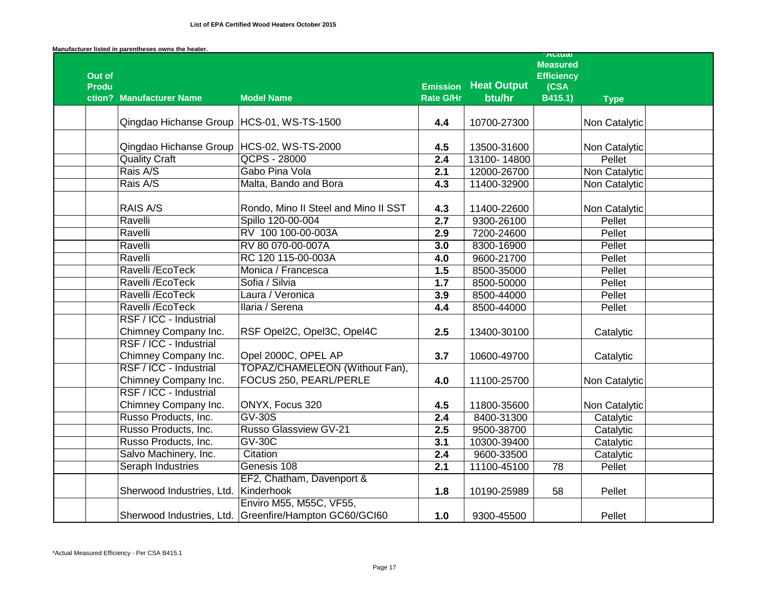|              |                                                |                                                                                   |                                     |                              | <b>Attual</b><br><b>Measured</b> |               |
|--------------|------------------------------------------------|-----------------------------------------------------------------------------------|-------------------------------------|------------------------------|----------------------------------|---------------|
| Out of       |                                                |                                                                                   |                                     |                              | <b>Efficiency</b>                |               |
| <b>Produ</b> | ction? Manufacturer Name                       | <b>Model Name</b>                                                                 | <b>Emission</b><br><b>Rate G/Hr</b> | <b>Heat Output</b><br>btu/hr | (CSA<br>B415.1)                  | <b>Type</b>   |
|              | Qingdao Hichanse Group HCS-01, WS-TS-1500      |                                                                                   | 4.4                                 | 10700-27300                  |                                  | Non Catalytic |
|              | Qingdao Hichanse Group                         | HCS-02, WS-TS-2000                                                                | 4.5                                 | 13500-31600                  |                                  | Non Catalytic |
|              | <b>Quality Craft</b>                           | QCPS - 28000                                                                      | 2.4                                 | 13100-14800                  |                                  | Pellet        |
|              | Rais A/S                                       | Gabo Pina Vola                                                                    | 2.1                                 | 12000-26700                  |                                  | Non Catalytic |
|              | Rais A/S                                       | Malta, Bando and Bora                                                             | 4.3                                 | 11400-32900                  |                                  | Non Catalytic |
|              | RAIS A/S                                       | Rondo, Mino II Steel and Mino II SST                                              | 4.3                                 | 11400-22600                  |                                  | Non Catalytic |
|              | Ravelli                                        | Spillo 120-00-004                                                                 | $\overline{2.7}$                    | 9300-26100                   |                                  | Pellet        |
|              | Ravelli                                        | RV 100 100-00-003A                                                                | 2.9                                 | 7200-24600                   |                                  | Pellet        |
|              | Ravelli                                        | RV 80 070-00-007A                                                                 | 3.0                                 | 8300-16900                   |                                  | Pellet        |
|              | Ravelli                                        | RC 120 115-00-003A                                                                | $\overline{4.0}$                    | 9600-21700                   |                                  | Pellet        |
|              | Ravelli /EcoTeck                               | Monica / Francesca                                                                | 1.5                                 | 8500-35000                   |                                  | Pellet        |
|              | Ravelli / EcoTeck                              | Sofia / Silvia                                                                    | 1.7                                 | 8500-50000                   |                                  | Pellet        |
|              | Ravelli /EcoTeck                               | Laura / Veronica                                                                  | 3.9                                 | 8500-44000                   |                                  | Pellet        |
|              | Ravelli /EcoTeck                               | Ilaria / Serena                                                                   | 4.4                                 | 8500-44000                   |                                  | Pellet        |
|              | RSF / ICC - Industrial                         |                                                                                   |                                     |                              |                                  |               |
|              | Chimney Company Inc.                           | RSF Opel2C, Opel3C, Opel4C                                                        | 2.5                                 | 13400-30100                  |                                  | Catalytic     |
|              | RSF / ICC - Industrial<br>Chimney Company Inc. | Opel 2000C, OPEL AP                                                               | 3.7                                 | 10600-49700                  |                                  | Catalytic     |
|              | RSF / ICC - Industrial<br>Chimney Company Inc. | TOPAZ/CHAMELEON (Without Fan),<br>FOCUS 250, PEARL/PERLE                          | 4.0                                 | 11100-25700                  |                                  | Non Catalytic |
|              | RSF / ICC - Industrial<br>Chimney Company Inc. | ONYX, Focus 320                                                                   | 4.5                                 | 11800-35600                  |                                  | Non Catalytic |
|              | Russo Products, Inc.                           | <b>GV-30S</b>                                                                     | $\overline{2.4}$                    | 8400-31300                   |                                  | Catalytic     |
|              | Russo Products, Inc.                           | <b>Russo Glassview GV-21</b>                                                      | 2.5                                 | 9500-38700                   |                                  | Catalytic     |
|              | Russo Products, Inc.                           | $GV-30C$                                                                          | 3.1                                 | 10300-39400                  |                                  | Catalytic     |
|              | Salvo Machinery, Inc.                          | Citation                                                                          | 2.4                                 | 9600-33500                   |                                  | Catalytic     |
|              | <b>Seraph Industries</b>                       | Genesis 108                                                                       | 2.1                                 | 11100-45100                  | 78                               | Pellet        |
|              |                                                | EF2, Chatham, Davenport &                                                         |                                     |                              |                                  |               |
|              | Sherwood Industries, Ltd.                      | Kinderhook                                                                        | 1.8                                 | 10190-25989                  | 58                               | Pellet        |
|              |                                                | Enviro M55, M55C, VF55,<br>Sherwood Industries, Ltd. Greenfire/Hampton GC60/GCI60 | 1.0                                 | 9300-45500                   |                                  | Pellet        |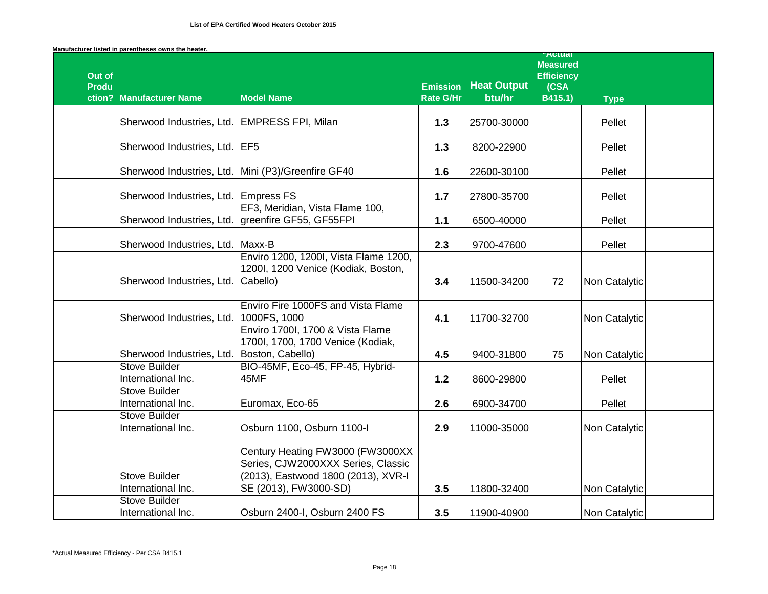|                        |                                              |                                                                                                                                        |                 |                    | <b>Actual</b><br><b>Measured</b> |               |  |
|------------------------|----------------------------------------------|----------------------------------------------------------------------------------------------------------------------------------------|-----------------|--------------------|----------------------------------|---------------|--|
| Out of<br><b>Produ</b> |                                              |                                                                                                                                        | <b>Emission</b> | <b>Heat Output</b> | <b>Efficiency</b><br>(CSA        |               |  |
|                        | ction? Manufacturer Name                     | <b>Model Name</b>                                                                                                                      | Rate G/Hr       | btu/hr             | B415.1)                          | <b>Type</b>   |  |
|                        | Sherwood Industries, Ltd. EMPRESS FPI, Milan |                                                                                                                                        | $1.3$           | 25700-30000        |                                  | Pellet        |  |
|                        | Sherwood Industries, Ltd. EF5                |                                                                                                                                        | 1.3             | 8200-22900         |                                  | Pellet        |  |
|                        |                                              | Sherwood Industries, Ltd. Mini (P3)/Greenfire GF40                                                                                     | 1.6             | 22600-30100        |                                  | Pellet        |  |
|                        | Sherwood Industries, Ltd. Empress FS         |                                                                                                                                        | 1.7             | 27800-35700        |                                  | Pellet        |  |
|                        | Sherwood Industries, Ltd.                    | EF3, Meridian, Vista Flame 100,<br>greenfire GF55, GF55FPI                                                                             | 1.1             | 6500-40000         |                                  | Pellet        |  |
|                        | Sherwood Industries, Ltd.                    | Maxx-B                                                                                                                                 | 2.3             | 9700-47600         |                                  | Pellet        |  |
|                        | Sherwood Industries, Ltd.                    | Enviro 1200, 1200I, Vista Flame 1200,<br>1200I, 1200 Venice (Kodiak, Boston,<br>Cabello)                                               | 3.4             | 11500-34200        | 72                               | Non Catalytic |  |
|                        |                                              | Enviro Fire 1000FS and Vista Flame                                                                                                     |                 |                    |                                  |               |  |
|                        | Sherwood Industries, Ltd.                    | 1000FS, 1000                                                                                                                           | 4.1             | 11700-32700        |                                  | Non Catalytic |  |
|                        |                                              | Enviro 1700I, 1700 & Vista Flame<br>1700I, 1700, 1700 Venice (Kodiak,                                                                  |                 |                    |                                  |               |  |
|                        | Sherwood Industries, Ltd.                    | Boston, Cabello)                                                                                                                       | 4.5             | 9400-31800         | 75                               | Non Catalytic |  |
|                        | <b>Stove Builder</b><br>International Inc.   | BIO-45MF, Eco-45, FP-45, Hybrid-<br>45MF                                                                                               | 1.2             | 8600-29800         |                                  | Pellet        |  |
|                        | <b>Stove Builder</b><br>International Inc.   | Euromax, Eco-65                                                                                                                        | 2.6             | 6900-34700         |                                  | Pellet        |  |
|                        | <b>Stove Builder</b><br>International Inc.   | Osburn 1100, Osburn 1100-I                                                                                                             | 2.9             | 11000-35000        |                                  | Non Catalytic |  |
|                        | <b>Stove Builder</b><br>International Inc.   | Century Heating FW3000 (FW3000XX<br>Series, CJW2000XXX Series, Classic<br>(2013), Eastwood 1800 (2013), XVR-I<br>SE (2013), FW3000-SD) | 3.5             | 11800-32400        |                                  | Non Catalytic |  |
|                        | <b>Stove Builder</b><br>International Inc.   | Osburn 2400-I, Osburn 2400 FS                                                                                                          | 3.5             | 11900-40900        |                                  | Non Catalytic |  |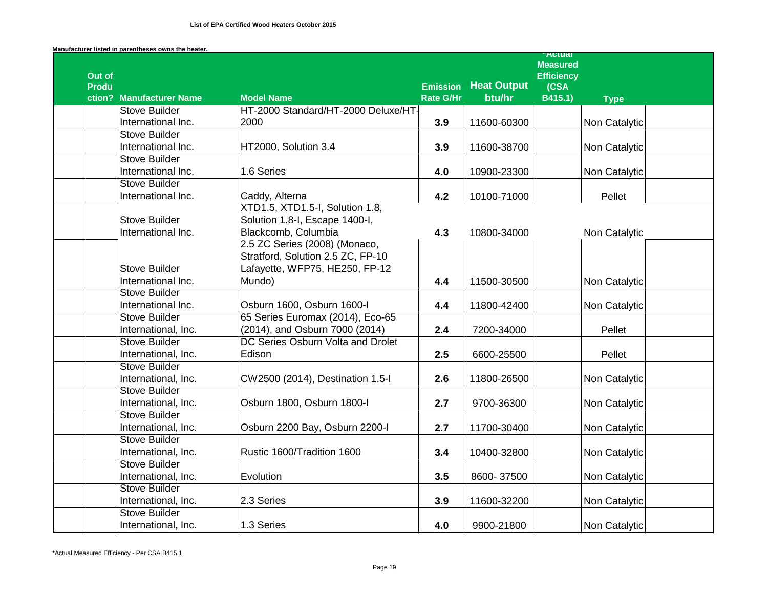|              |                          |                                     |                                     |                              | <b>Attual</b><br><b>Measured</b> |               |  |
|--------------|--------------------------|-------------------------------------|-------------------------------------|------------------------------|----------------------------------|---------------|--|
| Out of       |                          |                                     |                                     |                              | <b>Efficiency</b>                |               |  |
| <b>Produ</b> | ction? Manufacturer Name | <b>Model Name</b>                   | <b>Emission</b><br><b>Rate G/Hr</b> | <b>Heat Output</b><br>btu/hr | (CSA)<br>B415.1)                 | <b>Type</b>   |  |
|              | <b>Stove Builder</b>     | HT-2000 Standard/HT-2000 Deluxe/HT- |                                     |                              |                                  |               |  |
|              | International Inc.       | 2000                                | 3.9                                 | 11600-60300                  |                                  | Non Catalytic |  |
|              | <b>Stove Builder</b>     |                                     |                                     |                              |                                  |               |  |
|              | International Inc.       | HT2000, Solution 3.4                | 3.9                                 | 11600-38700                  |                                  | Non Catalytic |  |
|              | <b>Stove Builder</b>     |                                     |                                     |                              |                                  |               |  |
|              | International Inc.       | 1.6 Series                          | 4.0                                 | 10900-23300                  |                                  | Non Catalytic |  |
|              | <b>Stove Builder</b>     |                                     |                                     |                              |                                  |               |  |
|              | International Inc.       | Caddy, Alterna                      | 4.2                                 | 10100-71000                  |                                  | Pellet        |  |
|              |                          | XTD1.5, XTD1.5-I, Solution 1.8,     |                                     |                              |                                  |               |  |
|              | <b>Stove Builder</b>     | Solution 1.8-I, Escape 1400-I,      |                                     |                              |                                  |               |  |
|              | International Inc.       | Blackcomb, Columbia                 | 4.3                                 | 10800-34000                  |                                  | Non Catalytic |  |
|              |                          | 2.5 ZC Series (2008) (Monaco,       |                                     |                              |                                  |               |  |
|              |                          | Stratford, Solution 2.5 ZC, FP-10   |                                     |                              |                                  |               |  |
|              | <b>Stove Builder</b>     | Lafayette, WFP75, HE250, FP-12      |                                     |                              |                                  |               |  |
|              | International Inc.       | Mundo)                              | 4.4                                 | 11500-30500                  |                                  | Non Catalytic |  |
|              | <b>Stove Builder</b>     |                                     |                                     |                              |                                  |               |  |
|              | International Inc.       | Osburn 1600, Osburn 1600-I          | 4.4                                 | 11800-42400                  |                                  | Non Catalytic |  |
|              | <b>Stove Builder</b>     | 65 Series Euromax (2014), Eco-65    |                                     |                              |                                  |               |  |
|              | International, Inc.      | (2014), and Osburn 7000 (2014)      | 2.4                                 | 7200-34000                   |                                  | Pellet        |  |
|              | <b>Stove Builder</b>     | DC Series Osburn Volta and Drolet   |                                     |                              |                                  |               |  |
|              | International, Inc.      | Edison                              | 2.5                                 | 6600-25500                   |                                  | Pellet        |  |
|              | <b>Stove Builder</b>     |                                     |                                     |                              |                                  |               |  |
|              | International, Inc.      | CW2500 (2014), Destination 1.5-I    | 2.6                                 | 11800-26500                  |                                  | Non Catalytic |  |
|              | <b>Stove Builder</b>     |                                     |                                     |                              |                                  |               |  |
|              | International, Inc.      | Osburn 1800, Osburn 1800-I          | 2.7                                 | 9700-36300                   |                                  | Non Catalytic |  |
|              | <b>Stove Builder</b>     |                                     |                                     |                              |                                  |               |  |
|              | International, Inc.      | Osburn 2200 Bay, Osburn 2200-I      | 2.7                                 | 11700-30400                  |                                  | Non Catalytic |  |
|              | <b>Stove Builder</b>     |                                     |                                     |                              |                                  |               |  |
|              | International, Inc.      | Rustic 1600/Tradition 1600          | 3.4                                 | 10400-32800                  |                                  | Non Catalytic |  |
|              | <b>Stove Builder</b>     |                                     |                                     |                              |                                  |               |  |
|              | International, Inc.      | Evolution                           | 3.5                                 | 8600-37500                   |                                  | Non Catalytic |  |
|              | <b>Stove Builder</b>     |                                     |                                     |                              |                                  |               |  |
|              | International, Inc.      | 2.3 Series                          | 3.9                                 | 11600-32200                  |                                  | Non Catalytic |  |
|              | <b>Stove Builder</b>     |                                     |                                     |                              |                                  |               |  |
|              | International, Inc.      | 1.3 Series                          | 4.0                                 | 9900-21800                   |                                  | Non Catalytic |  |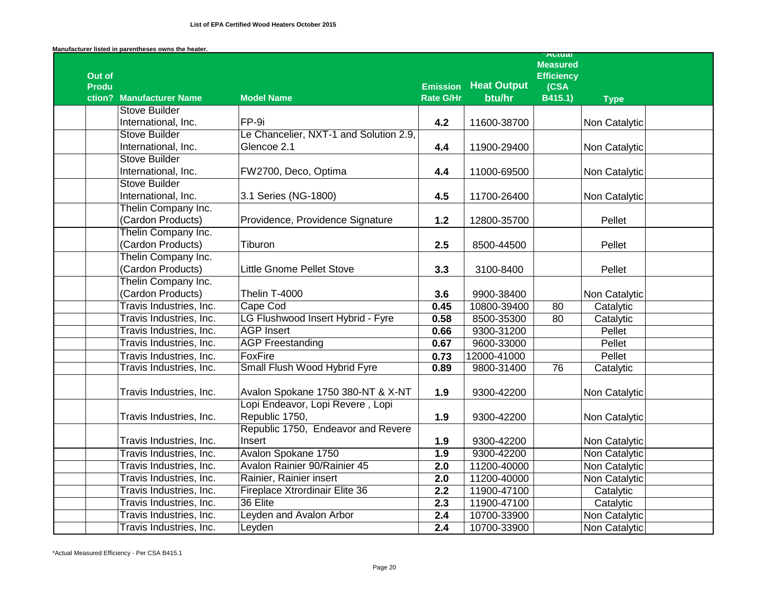|                                          |                                                    |                              |                              | Autudi<br><b>Measured</b> |               |
|------------------------------------------|----------------------------------------------------|------------------------------|------------------------------|---------------------------|---------------|
| Out of                                   |                                                    |                              |                              | <b>Efficiency</b>         |               |
| <b>Produ</b><br>ction? Manufacturer Name | <b>Model Name</b>                                  | <b>Emission</b><br>Rate G/Hr | <b>Heat Output</b><br>btu/hr | (CSA)<br>B415.1)          |               |
| <b>Stove Builder</b>                     |                                                    |                              |                              |                           | <b>Type</b>   |
| International, Inc.                      | FP-9i                                              | 4.2                          | 11600-38700                  |                           | Non Catalytic |
| <b>Stove Builder</b>                     | Le Chancelier, NXT-1 and Solution 2.9,             |                              |                              |                           |               |
| International, Inc.                      | Glencoe 2.1                                        | 4.4                          | 11900-29400                  |                           | Non Catalytic |
| <b>Stove Builder</b>                     |                                                    |                              |                              |                           |               |
| International, Inc.                      | FW2700, Deco, Optima                               | 4.4                          | 11000-69500                  |                           | Non Catalytic |
| <b>Stove Builder</b>                     |                                                    |                              |                              |                           |               |
| International, Inc.                      | 3.1 Series (NG-1800)                               | 4.5                          | 11700-26400                  |                           | Non Catalytic |
| Thelin Company Inc.                      |                                                    |                              |                              |                           |               |
| (Cardon Products)                        | Providence, Providence Signature                   | $1.2$                        | 12800-35700                  |                           | Pellet        |
| Thelin Company Inc.                      |                                                    |                              |                              |                           |               |
| (Cardon Products)                        | Tiburon                                            | 2.5                          | 8500-44500                   |                           | Pellet        |
| Thelin Company Inc.                      |                                                    |                              |                              |                           |               |
| (Cardon Products)                        | <b>Little Gnome Pellet Stove</b>                   | 3.3                          | 3100-8400                    |                           | Pellet        |
| Thelin Company Inc.                      |                                                    |                              |                              |                           |               |
| (Cardon Products)                        | Thelin T-4000                                      | 3.6                          | 9900-38400                   |                           | Non Catalytic |
| Travis Industries, Inc.                  | Cape Cod                                           | 0.45                         | 10800-39400                  | 80                        | Catalytic     |
| Travis Industries, Inc.                  | LG Flushwood Insert Hybrid - Fyre                  | 0.58                         | 8500-35300                   | 80                        | Catalytic     |
| Travis Industries, Inc.                  | <b>AGP Insert</b>                                  | 0.66                         | 9300-31200                   |                           | Pellet        |
| Travis Industries, Inc.                  | <b>AGP Freestanding</b>                            | 0.67                         | 9600-33000                   |                           | Pellet        |
| Travis Industries, Inc.                  | FoxFire                                            | 0.73                         | 12000-41000                  |                           | Pellet        |
| Travis Industries, Inc.                  | <b>Small Flush Wood Hybrid Fyre</b>                | 0.89                         | 9800-31400                   | 76                        | Catalytic     |
|                                          |                                                    |                              |                              |                           |               |
| Travis Industries, Inc.                  | Avalon Spokane 1750 380-NT & X-NT                  | 1.9                          | 9300-42200                   |                           | Non Catalytic |
|                                          | Lopi Endeavor, Lopi Revere, Lopi<br>Republic 1750, |                              |                              |                           |               |
| Travis Industries, Inc.                  | Republic 1750, Endeavor and Revere                 | 1.9                          | 9300-42200                   |                           | Non Catalytic |
| Travis Industries, Inc.                  | Insert                                             | 1.9                          | 9300-42200                   |                           | Non Catalytic |
| Travis Industries, Inc.                  | Avalon Spokane 1750                                | 1.9                          | 9300-42200                   |                           | Non Catalytic |
| Travis Industries, Inc.                  | Avalon Rainier 90/Rainier 45                       | $\overline{2.0}$             | 11200-40000                  |                           | Non Catalytic |
| Travis Industries, Inc.                  | Rainier, Rainier insert                            | 2.0                          | 11200-40000                  |                           | Non Catalytic |
| Travis Industries, Inc.                  | Fireplace Xtrordinair Elite 36                     | 2.2                          | 11900-47100                  |                           | Catalytic     |
| Travis Industries, Inc.                  | 36 Elite                                           | 2.3                          | 11900-47100                  |                           | Catalytic     |
| Travis Industries, Inc.                  | Leyden and Avalon Arbor                            | 2.4                          | 10700-33900                  |                           | Non Catalytic |
| Travis Industries, Inc.                  | Leyden                                             | 2.4                          | 10700-33900                  |                           | Non Catalytic |
|                                          |                                                    |                              |                              |                           |               |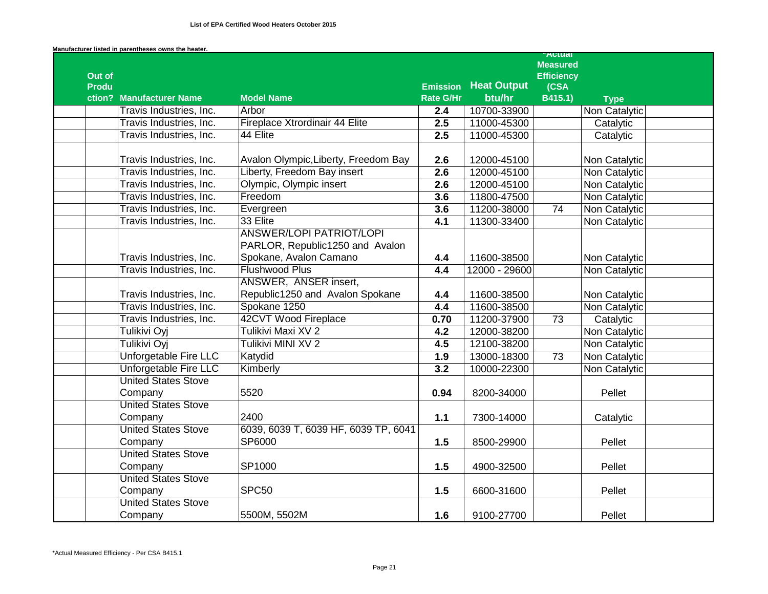|              |                              |                                                                    |                                     |                    | <b>Autual</b><br><b>Measured</b> |               |  |
|--------------|------------------------------|--------------------------------------------------------------------|-------------------------------------|--------------------|----------------------------------|---------------|--|
| Out of       |                              |                                                                    |                                     | <b>Heat Output</b> | <b>Efficiency</b>                |               |  |
| <b>Produ</b> | ction? Manufacturer Name     | <b>Model Name</b>                                                  | <b>Emission</b><br><b>Rate G/Hr</b> | btu/hr             | (CSA<br>B415.1)                  | <b>Type</b>   |  |
|              | Travis Industries, Inc.      | Arbor                                                              | 2.4                                 | 10700-33900        |                                  | Non Catalytic |  |
|              | Travis Industries, Inc.      | Fireplace Xtrordinair 44 Elite                                     | 2.5                                 | 11000-45300        |                                  | Catalytic     |  |
|              | Travis Industries, Inc.      | 44 Elite                                                           | 2.5                                 | 11000-45300        |                                  | Catalytic     |  |
|              | Travis Industries, Inc.      | Avalon Olympic, Liberty, Freedom Bay                               | 2.6                                 | 12000-45100        |                                  | Non Catalytic |  |
|              | Travis Industries, Inc.      | Liberty, Freedom Bay insert                                        | 2.6                                 | 12000-45100        |                                  | Non Catalytic |  |
|              | Travis Industries, Inc.      | Olympic, Olympic insert                                            | 2.6                                 | 12000-45100        |                                  | Non Catalytic |  |
|              | Travis Industries, Inc.      | Freedom                                                            | 3.6                                 | 11800-47500        |                                  | Non Catalytic |  |
|              | Travis Industries, Inc.      | Evergreen                                                          | 3.6                                 | 11200-38000        | $\overline{74}$                  | Non Catalytic |  |
|              | Travis Industries, Inc.      | 33 Elite                                                           | $\overline{4.1}$                    | 11300-33400        |                                  | Non Catalytic |  |
|              |                              | <b>ANSWER/LOPI PATRIOT/LOPI</b><br>PARLOR, Republic1250 and Avalon |                                     |                    |                                  |               |  |
|              | Travis Industries, Inc.      | Spokane, Avalon Camano                                             | 4.4                                 | 11600-38500        |                                  | Non Catalytic |  |
|              | Travis Industries, Inc.      | <b>Flushwood Plus</b>                                              | 4.4                                 | 12000 - 29600      |                                  | Non Catalytic |  |
|              |                              | ANSWER, ANSER insert,                                              |                                     |                    |                                  |               |  |
|              | Travis Industries, Inc.      | Republic1250 and Avalon Spokane                                    | 4.4                                 | 11600-38500        |                                  | Non Catalytic |  |
|              | Travis Industries, Inc.      | Spokane 1250                                                       | 4.4                                 | 11600-38500        |                                  | Non Catalytic |  |
|              | Travis Industries, Inc.      | 42CVT Wood Fireplace                                               | 0.70                                | 11200-37900        | 73                               | Catalytic     |  |
|              | Tulikivi Oyi                 | Tulikivi Maxi XV 2                                                 | 4.2                                 | 12000-38200        |                                  | Non Catalytic |  |
|              | Tulikivi Oyi                 | Tulikivi MINI XV 2                                                 | 4.5                                 | 12100-38200        |                                  | Non Catalytic |  |
|              | Unforgetable Fire LLC        | Katydid                                                            | 1.9                                 | 13000-18300        | 73                               | Non Catalytic |  |
|              | <b>Unforgetable Fire LLC</b> | Kimberly                                                           | 3.2                                 | 10000-22300        |                                  | Non Catalytic |  |
|              | <b>United States Stove</b>   |                                                                    |                                     |                    |                                  |               |  |
|              | Company                      | 5520                                                               | 0.94                                | 8200-34000         |                                  | Pellet        |  |
|              | <b>United States Stove</b>   |                                                                    |                                     |                    |                                  |               |  |
|              | Company                      | 2400                                                               | $1.1$                               | 7300-14000         |                                  | Catalytic     |  |
|              | <b>United States Stove</b>   | 6039, 6039 T, 6039 HF, 6039 TP, 6041                               |                                     |                    |                                  |               |  |
|              | Company                      | SP6000                                                             | 1.5                                 | 8500-29900         |                                  | Pellet        |  |
|              | <b>United States Stove</b>   |                                                                    |                                     |                    |                                  |               |  |
|              | Company                      | SP1000                                                             | 1.5                                 | 4900-32500         |                                  | Pellet        |  |
|              | <b>United States Stove</b>   |                                                                    |                                     |                    |                                  |               |  |
|              | Company                      | SPC50                                                              | 1.5                                 | 6600-31600         |                                  | Pellet        |  |
|              | <b>United States Stove</b>   |                                                                    |                                     |                    |                                  |               |  |
|              | Company                      | 5500M, 5502M                                                       | 1.6                                 | 9100-27700         |                                  | Pellet        |  |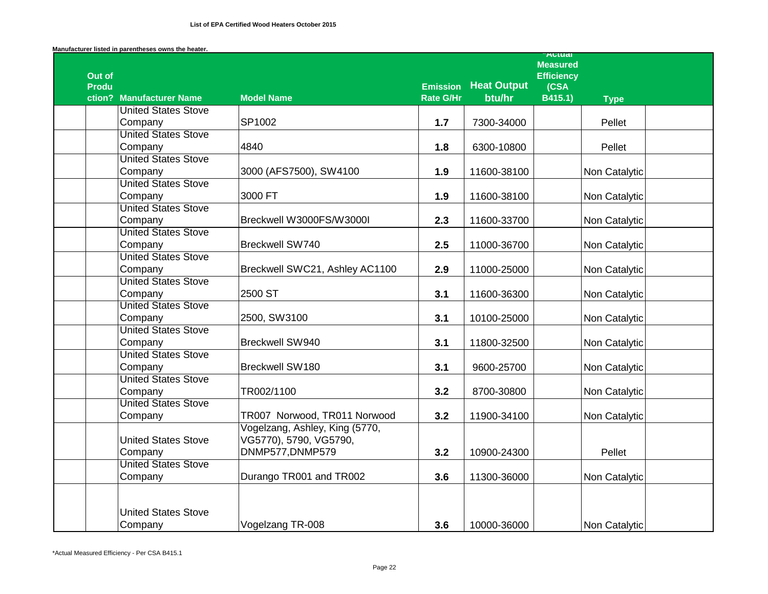|              |                            |                                |                  |                    | <b>AULUAI</b><br><b>Measured</b> |               |  |
|--------------|----------------------------|--------------------------------|------------------|--------------------|----------------------------------|---------------|--|
| Out of       |                            |                                |                  |                    | <b>Efficiency</b>                |               |  |
| <b>Produ</b> |                            |                                | <b>Emission</b>  | <b>Heat Output</b> | (CSA                             |               |  |
|              | ction? Manufacturer Name   | <b>Model Name</b>              | <b>Rate G/Hr</b> | btu/hr             | B415.1)                          | <b>Type</b>   |  |
|              | <b>United States Stove</b> |                                |                  |                    |                                  |               |  |
|              | Company                    | SP1002                         | 1.7              | 7300-34000         |                                  | Pellet        |  |
|              | <b>United States Stove</b> |                                |                  |                    |                                  |               |  |
|              | Company                    | 4840                           | 1.8              | 6300-10800         |                                  | Pellet        |  |
|              | <b>United States Stove</b> |                                |                  |                    |                                  |               |  |
|              | Company                    | 3000 (AFS7500), SW4100         | 1.9              | 11600-38100        |                                  | Non Catalytic |  |
|              | <b>United States Stove</b> |                                |                  |                    |                                  |               |  |
|              | Company                    | 3000 FT                        | 1.9              | 11600-38100        |                                  | Non Catalytic |  |
|              | <b>United States Stove</b> |                                |                  |                    |                                  |               |  |
|              | Company                    | Breckwell W3000FS/W3000I       | 2.3              | 11600-33700        |                                  | Non Catalytic |  |
|              | <b>United States Stove</b> |                                |                  |                    |                                  |               |  |
|              | Company                    | Breckwell SW740                | 2.5              | 11000-36700        |                                  | Non Catalytic |  |
|              | <b>United States Stove</b> |                                |                  |                    |                                  |               |  |
|              | Company                    | Breckwell SWC21, Ashley AC1100 | 2.9              | 11000-25000        |                                  | Non Catalytic |  |
|              | <b>United States Stove</b> |                                |                  |                    |                                  |               |  |
|              | Company                    | 2500 ST                        | 3.1              | 11600-36300        |                                  | Non Catalytic |  |
|              | <b>United States Stove</b> |                                |                  |                    |                                  |               |  |
|              | Company                    | 2500, SW3100                   | 3.1              | 10100-25000        |                                  | Non Catalytic |  |
|              | <b>United States Stove</b> |                                |                  |                    |                                  |               |  |
|              | Company                    | <b>Breckwell SW940</b>         | 3.1              | 11800-32500        |                                  | Non Catalytic |  |
|              | <b>United States Stove</b> |                                |                  |                    |                                  |               |  |
|              | Company                    | Breckwell SW180                | 3.1              | 9600-25700         |                                  | Non Catalytic |  |
|              | <b>United States Stove</b> |                                |                  |                    |                                  |               |  |
|              | Company                    | TR002/1100                     | 3.2              | 8700-30800         |                                  | Non Catalytic |  |
|              | <b>United States Stove</b> |                                |                  |                    |                                  |               |  |
|              | Company                    | TR007 Norwood, TR011 Norwood   | 3.2              | 11900-34100        |                                  | Non Catalytic |  |
|              |                            | Vogelzang, Ashley, King (5770, |                  |                    |                                  |               |  |
|              | <b>United States Stove</b> | VG5770), 5790, VG5790,         |                  |                    |                                  |               |  |
|              | Company                    | DNMP577,DNMP579                | 3.2              | 10900-24300        |                                  | Pellet        |  |
|              | <b>United States Stove</b> |                                |                  |                    |                                  |               |  |
|              | Company                    | Durango TR001 and TR002        | 3.6              | 11300-36000        |                                  | Non Catalytic |  |
|              |                            |                                |                  |                    |                                  |               |  |
|              | <b>United States Stove</b> |                                |                  |                    |                                  |               |  |
|              |                            |                                |                  |                    |                                  |               |  |
|              | Company                    | Vogelzang TR-008               | 3.6              | 10000-36000        |                                  | Non Catalytic |  |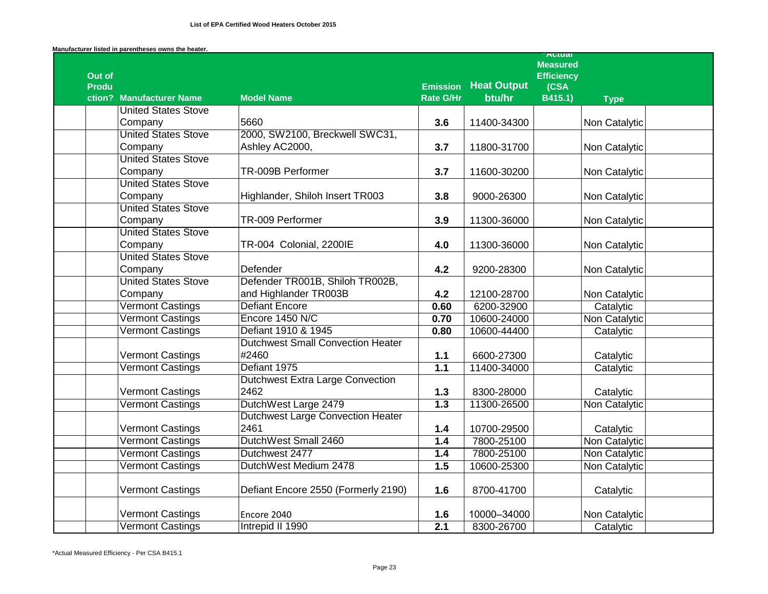|              |                            |                                          |                  |                    | <b>A</b> Ctudi                       |               |  |
|--------------|----------------------------|------------------------------------------|------------------|--------------------|--------------------------------------|---------------|--|
| Out of       |                            |                                          |                  |                    | <b>Measured</b><br><b>Efficiency</b> |               |  |
| <b>Produ</b> |                            |                                          | <b>Emission</b>  | <b>Heat Output</b> | (CSA)                                |               |  |
|              | ction? Manufacturer Name   | <b>Model Name</b>                        | <b>Rate G/Hr</b> | btu/hr             | B415.1)                              | <b>Type</b>   |  |
|              | <b>United States Stove</b> |                                          |                  |                    |                                      |               |  |
|              | Company                    | 5660                                     | 3.6              | 11400-34300        |                                      | Non Catalytic |  |
|              | <b>United States Stove</b> | 2000, SW2100, Breckwell SWC31,           |                  |                    |                                      |               |  |
|              | Company                    | Ashley AC2000,                           | 3.7              | 11800-31700        |                                      | Non Catalytic |  |
|              | <b>United States Stove</b> |                                          |                  |                    |                                      |               |  |
|              | Company                    | TR-009B Performer                        | 3.7              | 11600-30200        |                                      | Non Catalytic |  |
|              | <b>United States Stove</b> |                                          |                  |                    |                                      |               |  |
|              | Company                    | Highlander, Shiloh Insert TR003          | 3.8              | 9000-26300         |                                      | Non Catalytic |  |
|              | <b>United States Stove</b> |                                          |                  |                    |                                      |               |  |
|              | Company                    | TR-009 Performer                         | 3.9              | 11300-36000        |                                      | Non Catalytic |  |
|              | <b>United States Stove</b> |                                          |                  |                    |                                      |               |  |
|              | Company                    | TR-004 Colonial, 2200IE                  | 4.0              | 11300-36000        |                                      | Non Catalytic |  |
|              | <b>United States Stove</b> |                                          |                  |                    |                                      |               |  |
|              | Company                    | Defender                                 | 4.2              | 9200-28300         |                                      | Non Catalytic |  |
|              | <b>United States Stove</b> | Defender TR001B, Shiloh TR002B,          |                  |                    |                                      |               |  |
|              | Company                    | and Highlander TR003B                    | 4.2              | 12100-28700        |                                      | Non Catalytic |  |
|              | <b>Vermont Castings</b>    | <b>Defiant Encore</b>                    | 0.60             | 6200-32900         |                                      | Catalytic     |  |
|              | <b>Vermont Castings</b>    | Encore 1450 N/C                          | 0.70             | 10600-24000        |                                      | Non Catalytic |  |
|              | Vermont Castings           | Defiant 1910 & 1945                      | 0.80             | 10600-44400        |                                      | Catalytic     |  |
|              |                            | <b>Dutchwest Small Convection Heater</b> |                  |                    |                                      |               |  |
|              | <b>Vermont Castings</b>    | #2460                                    | 1.1              | 6600-27300         |                                      | Catalytic     |  |
|              | <b>Vermont Castings</b>    | Defiant 1975                             | 1.1              | 11400-34000        |                                      | Catalytic     |  |
|              |                            | <b>Dutchwest Extra Large Convection</b>  |                  |                    |                                      |               |  |
|              | <b>Vermont Castings</b>    | 2462                                     | $1.3$            | 8300-28000         |                                      | Catalytic     |  |
|              | <b>Vermont Castings</b>    | DutchWest Large 2479                     | $\overline{1.3}$ | 11300-26500        |                                      | Non Catalytic |  |
|              |                            | <b>Dutchwest Large Convection Heater</b> |                  |                    |                                      |               |  |
|              | <b>Vermont Castings</b>    | 2461                                     | 1.4              | 10700-29500        |                                      | Catalytic     |  |
|              | <b>Vermont Castings</b>    | DutchWest Small 2460                     | 1.4              | 7800-25100         |                                      | Non Catalytic |  |
|              | <b>Vermont Castings</b>    | Dutchwest 2477                           | 1.4              | 7800-25100         |                                      | Non Catalytic |  |
|              | <b>Vermont Castings</b>    | DutchWest Medium 2478                    | 1.5              | 10600-25300        |                                      | Non Catalytic |  |
|              | Vermont Castings           | Defiant Encore 2550 (Formerly 2190)      | 1.6              | 8700-41700         |                                      | Catalytic     |  |
|              | <b>Vermont Castings</b>    | Encore 2040                              | 1.6              | 10000-34000        |                                      | Non Catalytic |  |
|              | Vermont Castings           | Intrepid II 1990                         | 2.1              | 8300-26700         |                                      | Catalytic     |  |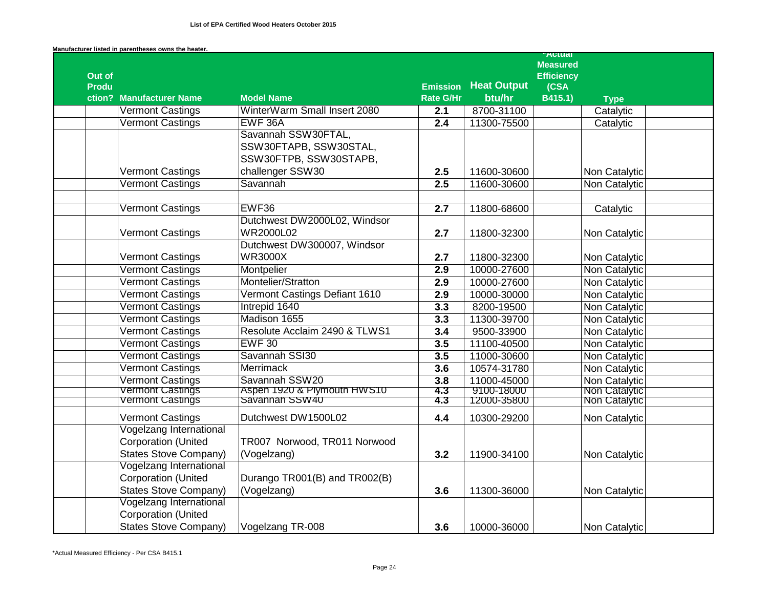|              |                                |                                                                                             |                  |                    | <b>Autual</b><br><b>Measured</b> |               |  |
|--------------|--------------------------------|---------------------------------------------------------------------------------------------|------------------|--------------------|----------------------------------|---------------|--|
| Out of       |                                |                                                                                             |                  |                    | <b>Efficiency</b>                |               |  |
| <b>Produ</b> |                                |                                                                                             | <b>Emission</b>  | <b>Heat Output</b> | (CSA                             |               |  |
|              | ction? Manufacturer Name       | <b>Model Name</b>                                                                           | <b>Rate G/Hr</b> | btu/hr             | B415.1)                          | <b>Type</b>   |  |
|              | <b>Vermont Castings</b>        | WinterWarm Small Insert 2080                                                                | 2.1              | 8700-31100         |                                  | Catalytic     |  |
|              | <b>Vermont Castings</b>        | EWF 36A                                                                                     | 2.4              | 11300-75500        |                                  | Catalytic     |  |
|              | <b>Vermont Castings</b>        | Savannah SSW30FTAL,<br>SSW30FTAPB, SSW30STAL,<br>SSW30FTPB, SSW30STAPB,<br>challenger SSW30 | 2.5              | 11600-30600        |                                  | Non Catalytic |  |
|              | <b>Vermont Castings</b>        | Savannah                                                                                    | 2.5              | 11600-30600        |                                  | Non Catalytic |  |
|              |                                |                                                                                             |                  |                    |                                  |               |  |
|              | <b>Vermont Castings</b>        | EWF36                                                                                       | 2.7              | 11800-68600        |                                  | Catalytic     |  |
|              | <b>Vermont Castings</b>        | Dutchwest DW2000L02, Windsor<br>WR2000L02                                                   | 2.7              | 11800-32300        |                                  | Non Catalytic |  |
|              | <b>Vermont Castings</b>        | Dutchwest DW300007, Windsor<br><b>WR3000X</b>                                               | 2.7              | 11800-32300        |                                  | Non Catalytic |  |
|              | Vermont Castings               | Montpelier                                                                                  | $\overline{2.9}$ | 10000-27600        |                                  | Non Catalytic |  |
|              | <b>Vermont Castings</b>        | Montelier/Stratton                                                                          | 2.9              | 10000-27600        |                                  | Non Catalytic |  |
|              | <b>Vermont Castings</b>        | Vermont Castings Defiant 1610                                                               | 2.9              | 10000-30000        |                                  | Non Catalytic |  |
|              | <b>Vermont Castings</b>        | Intrepid 1640                                                                               | 3.3              | 8200-19500         |                                  | Non Catalytic |  |
|              | <b>Vermont Castings</b>        | Madison 1655                                                                                | 3.3              | 11300-39700        |                                  | Non Catalytic |  |
|              | <b>Vermont Castings</b>        | Resolute Acclaim 2490 & TLWS1                                                               | 3.4              | 9500-33900         |                                  | Non Catalytic |  |
|              | <b>Vermont Castings</b>        | <b>EWF 30</b>                                                                               | 3.5              | 11100-40500        |                                  | Non Catalytic |  |
|              | <b>Vermont Castings</b>        | Savannah SSI30                                                                              | 3.5              | 11000-30600        |                                  | Non Catalytic |  |
|              | <b>Vermont Castings</b>        | <b>Merrimack</b>                                                                            | 3.6              | 10574-31780        |                                  | Non Catalytic |  |
|              | Vermont Castings               | Savannah SSW20                                                                              | 3.8              | 11000-45000        |                                  | Non Catalytic |  |
|              | <b>Vermont Castings</b>        | Aspen 1920 & Plymouth HWS10                                                                 | 4.3              | 9100-18000         |                                  | Non Catalytic |  |
|              | Vermont Castings               | Savannan SSW40                                                                              | 4.3              | 12000-35800        |                                  | Non Catalytic |  |
|              | <b>Vermont Castings</b>        | Dutchwest DW1500L02                                                                         | 4.4              | 10300-29200        |                                  | Non Catalytic |  |
|              | Vogelzang International        |                                                                                             |                  |                    |                                  |               |  |
|              | <b>Corporation (United</b>     | TR007 Norwood, TR011 Norwood                                                                |                  |                    |                                  |               |  |
|              | <b>States Stove Company)</b>   | (Vogelzang)                                                                                 | 3.2              | 11900-34100        |                                  | Non Catalytic |  |
|              | <b>Vogelzang International</b> |                                                                                             |                  |                    |                                  |               |  |
|              | <b>Corporation (United</b>     | Durango TR001(B) and TR002(B)                                                               |                  |                    |                                  |               |  |
|              | <b>States Stove Company)</b>   | (Vogelzang)                                                                                 | 3.6              | 11300-36000        |                                  | Non Catalytic |  |
|              | Vogelzang International        |                                                                                             |                  |                    |                                  |               |  |
|              | <b>Corporation (United</b>     |                                                                                             |                  |                    |                                  |               |  |
|              | <b>States Stove Company)</b>   | Vogelzang TR-008                                                                            | 3.6              | 10000-36000        |                                  | Non Catalytic |  |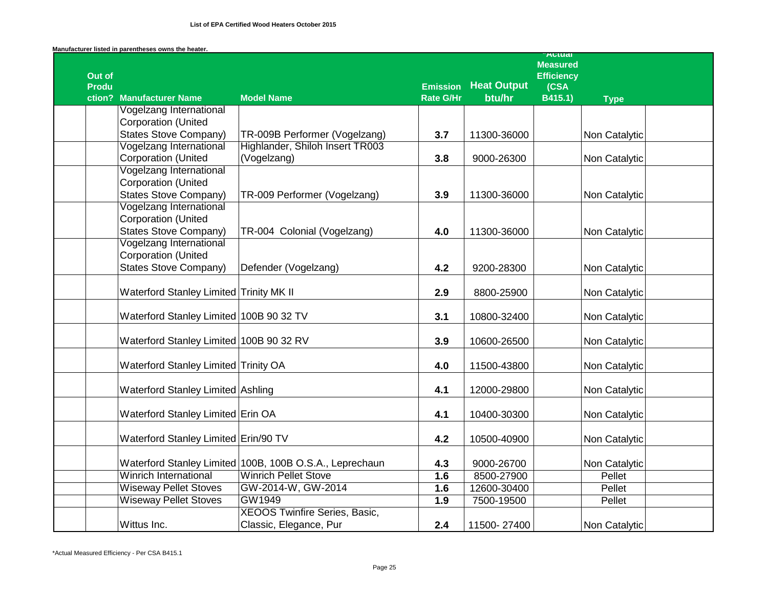| Manufacturer listed in parentheses owns the heater. |  |
|-----------------------------------------------------|--|
|-----------------------------------------------------|--|

|              |                                         |                                                         |                                     |                              | Autudi<br><b>Measured</b> |               |  |
|--------------|-----------------------------------------|---------------------------------------------------------|-------------------------------------|------------------------------|---------------------------|---------------|--|
| Out of       |                                         |                                                         |                                     |                              | <b>Efficiency</b>         |               |  |
| <b>Produ</b> | ction? Manufacturer Name                | <b>Model Name</b>                                       | <b>Emission</b><br><b>Rate G/Hr</b> | <b>Heat Output</b><br>btu/hr | (CSA<br>B415.1)           | <b>Type</b>   |  |
|              | Vogelzang International                 |                                                         |                                     |                              |                           |               |  |
|              | <b>Corporation (United</b>              |                                                         |                                     |                              |                           |               |  |
|              | <b>States Stove Company)</b>            | TR-009B Performer (Vogelzang)                           | 3.7                                 | 11300-36000                  |                           | Non Catalytic |  |
|              | <b>Vogelzang International</b>          | Highlander, Shiloh Insert TR003                         |                                     |                              |                           |               |  |
|              | <b>Corporation (United</b>              | (Vogelzang)                                             | 3.8                                 | 9000-26300                   |                           | Non Catalytic |  |
|              | <b>Vogelzang International</b>          |                                                         |                                     |                              |                           |               |  |
|              | <b>Corporation (United</b>              |                                                         |                                     |                              |                           |               |  |
|              | <b>States Stove Company)</b>            | TR-009 Performer (Vogelzang)                            | 3.9                                 | 11300-36000                  |                           | Non Catalytic |  |
|              | Vogelzang International                 |                                                         |                                     |                              |                           |               |  |
|              | <b>Corporation (United</b>              |                                                         |                                     |                              |                           |               |  |
|              | <b>States Stove Company)</b>            | TR-004 Colonial (Vogelzang)                             | 4.0                                 | 11300-36000                  |                           | Non Catalytic |  |
|              | Vogelzang International                 |                                                         |                                     |                              |                           |               |  |
|              | <b>Corporation (United</b>              |                                                         |                                     |                              |                           |               |  |
|              | <b>States Stove Company)</b>            | Defender (Vogelzang)                                    | 4.2                                 | 9200-28300                   |                           | Non Catalytic |  |
|              |                                         |                                                         |                                     |                              |                           |               |  |
|              | Waterford Stanley Limited Trinity MK II |                                                         | 2.9                                 | 8800-25900                   |                           | Non Catalytic |  |
|              |                                         |                                                         |                                     |                              |                           |               |  |
|              | Waterford Stanley Limited 100B 90 32 TV |                                                         | 3.1                                 | 10800-32400                  |                           | Non Catalytic |  |
|              |                                         |                                                         |                                     |                              |                           |               |  |
|              | Waterford Stanley Limited 100B 90 32 RV |                                                         | 3.9                                 | 10600-26500                  |                           | Non Catalytic |  |
|              | Waterford Stanley Limited Trinity OA    |                                                         | 4.0                                 | 11500-43800                  |                           | Non Catalytic |  |
|              |                                         |                                                         |                                     |                              |                           |               |  |
|              | Waterford Stanley Limited Ashling       |                                                         | 4.1                                 | 12000-29800                  |                           | Non Catalytic |  |
|              |                                         |                                                         |                                     |                              |                           |               |  |
|              | Waterford Stanley Limited Erin OA       |                                                         | 4.1                                 | 10400-30300                  |                           | Non Catalytic |  |
|              |                                         |                                                         |                                     |                              |                           |               |  |
|              | Waterford Stanley Limited Erin/90 TV    |                                                         | 4.2                                 | 10500-40900                  |                           | Non Catalytic |  |
|              |                                         |                                                         |                                     |                              |                           |               |  |
|              |                                         | Waterford Stanley Limited 100B, 100B O.S.A., Leprechaun | 4.3                                 | 9000-26700                   |                           | Non Catalytic |  |
|              | <b>Winrich International</b>            | <b>Winrich Pellet Stove</b>                             | 1.6                                 | 8500-27900                   |                           | Pellet        |  |
|              | <b>Wiseway Pellet Stoves</b>            | GW-2014-W, GW-2014                                      | 1.6                                 | 12600-30400                  |                           | Pellet        |  |
|              | <b>Wiseway Pellet Stoves</b>            | GW1949                                                  | 1.9                                 | 7500-19500                   |                           | Pellet        |  |
|              |                                         | <b>XEOOS Twinfire Series, Basic,</b>                    |                                     |                              |                           |               |  |
|              | Wittus Inc.                             | Classic, Elegance, Pur                                  | 2.4                                 | 11500-27400                  |                           | Non Catalytic |  |